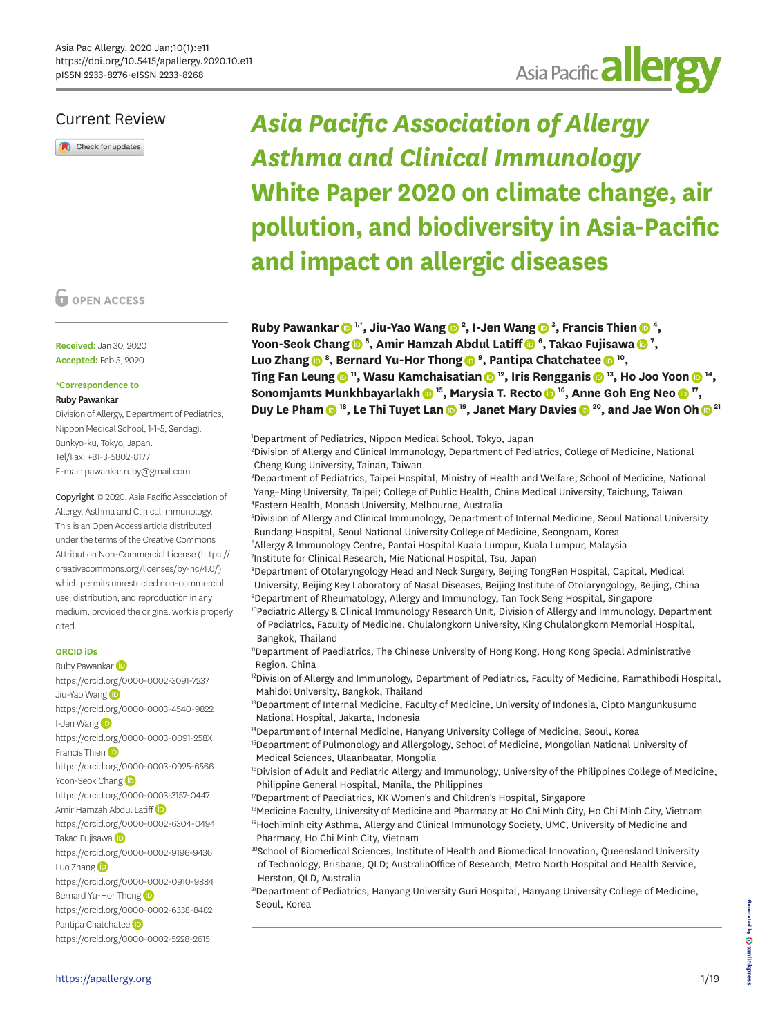## Current Review

Check for updates

#### **O** OPEN ACCESS

**Received:** Jan 30, 2020 **Accepted:** Feb 5, 2020

#### **\*Correspondence to**

#### Ruby Pawankar

Division of Allergy, Department of Pediatrics, Nippon Medical School, 1-1-5, Sendagi, Bunkyo-ku, Tokyo, Japan. Tel/Fax: +81-3-5802-8177 E-mail: pawankar.ruby@gmail.com

Copyright © 2020. Asia Pacific Association of Allergy, Asthma and Clinical Immunology. This is an Open Access article distributed under the terms of the Creative Commons Attribution Non-Commercial License [\(https://](https://creativecommons.org/licenses/by-nc/4.0/) [creativecommons.org/licenses/by-nc/4.0/](https://creativecommons.org/licenses/by-nc/4.0/)) which permits unrestricted non-commercial use, distribution, and reproduction in any medium, provided the original work is properly cited.

#### **ORCID iDs**

Ruby Pawankar<sup>D</sup> <https://orcid.org/0000-0002-3091-7237> Jiu-Yao Wang <https://orcid.org/0000-0003-4540-9822> I-Jen Wang<sup>D</sup> <https://orcid.org/0000-0003-0091-258X> Francis Thie[n](https://orcid.org/0000-0003-0925-6566) **D** <https://orcid.org/0000-0003-0925-6566> Yoon-Seok Chang<sup>(D</sup> <https://orcid.org/0000-0003-3157-0447> Amir Hamzah Abdul Latiff <https://orcid.org/0000-0002-6304-0494> Takao Fujisawa<sup>D</sup> <https://orcid.org/0000-0002-9196-9436> Luo Zhan[g](https://orcid.org/0000-0002-0910-9884) <sup>iD</sup> <https://orcid.org/0000-0002-0910-9884> Bernard Yu-Hor Thong <https://orcid.org/0000-0002-6338-8482> Pantipa Chatchatee<sup>(D</sup> <https://orcid.org/0000-0002-5228-2615>

# Asia Pacific **allergy**

# *Asia Pacific Association of Allergy Asthma and Clinical Immunology* **White Paper 2020 on climate change, air pollution, and biodiversity in Asia-Pacific and impact on allergic diseases**

**Ruby Pawanka[r](https://orcid.org/0000-0002-3091-7237)**  $\bullet$  **<sup>1,</sup>**, Jiu-Yao Wan[g](https://orcid.org/0000-0003-0091-258X)  $\bullet$  <sup>2</sup>, I-Je[n](https://orcid.org/0000-0003-0925-6566) Wang  $\bullet$  <sup>3</sup>, Francis Thien  $\bullet$  <sup>4</sup>, **Yoon-Seok Chan[g](https://orcid.org/0000-0003-3157-0447) <sup>5</sup> , Amir Hamzah Abdul Lati[ff](https://orcid.org/0000-0002-6304-0494) <sup>6</sup> , Takao Fujisaw[a](https://orcid.org/0000-0002-9196-9436) <sup>7</sup> , Luo Zhan[g](https://orcid.org/0000-0002-0910-9884) <sup>8</sup> , Bernard Yu-Hor Thon[g](https://orcid.org/0000-0002-6338-8482) <sup>9</sup> , Pantipa Chatchate[e](https://orcid.org/0000-0002-5228-2615) 10, Ting Fan Leun[g](https://orcid.org/0000-0002-6469-1926) 11, Wasu Kamchaisatia[n](https://orcid.org/0000-0003-0839-7682) 12, Iris Renggani[s](https://orcid.org/0000-0001-8748-8544) 13, Ho Joo Yoo[n](https://orcid.org/0000-0002-4645-4863) 14, Sonomjamts Munkhbayarlak[h](https://orcid.org/0000-0002-3807-4617) 15, Marysia T. Rect[o](https://orcid.org/0000-0002-4286-7599) 16, Anne Goh Eng Ne[o](https://orcid.org/0000-0001-5697-0813) 17, Duy Le Pha[m](https://orcid.org/0000-0001-5382-9283) 18, Le Thi Tuyet La[n](https://orcid.org/0000-0001-8899-1096) 19, Janet Mary Davie[s](https://orcid.org/0000-0002-6378-4119) 20, and Jae Won O[h](https://orcid.org/0000-0003-2714-0065) <sup>21</sup>**

- 1 Department of Pediatrics, Nippon Medical School, Tokyo, Japan 2 Division of Allergy and Clinical Immunology, Department of Pediatrics, College of Medicine, National Cheng Kung University, Tainan, Taiwan 3 Department of Pediatrics, Taipei Hospital, Ministry of Health and Welfare; School of Medicine, National Yang–Ming University, Taipei; College of Public Health, China Medical University, Taichung, Taiwan 4 Eastern Health, Monash University, Melbourne, Australia 5 Division of Allergy and Clinical Immunology, Department of Internal Medicine, Seoul National University Bundang Hospital, Seoul National University College of Medicine, Seongnam, Korea 6 Allergy & Immunology Centre, Pantai Hospital Kuala Lumpur, Kuala Lumpur, Malaysia 7 Institute for Clinical Research, Mie National Hospital, Tsu, Japan <sup>8</sup>Department of Otolaryngology Head and Neck Surgery, Beijing TongRen Hospital, Capital, Medical University, Beijing Key Laboratory of Nasal Diseases, Beijing Institute of Otolaryngology, Beijing, China <sup>9</sup>Department of Rheumatology, Allergy and Immunology, Tan Tock Seng Hospital, Singapore <sup>10</sup>Pediatric Allergy & Clinical Immunology Research Unit, Division of Allergy and Immunology, Department of Pediatrics, Faculty of Medicine, Chulalongkorn University, King Chulalongkorn Memorial Hospital, Bangkok, Thailand 11Department of Paediatrics, The Chinese University of Hong Kong, Hong Kong Special Administrative Region, China <sup>12</sup>Division of Allergy and Immunology, Department of Pediatrics, Faculty of Medicine, Ramathibodi Hospital, Mahidol University, Bangkok, Thailand <sup>13</sup>Department of Internal Medicine, Faculty of Medicine, University of Indonesia, Cipto Mangunkusumo National Hospital, Jakarta, Indonesia <sup>14</sup>Department of Internal Medicine, Hanyang University College of Medicine, Seoul, Korea <sup>15</sup>Department of Pulmonology and Allergology, School of Medicine, Mongolian National University of Medical Sciences, Ulaanbaatar, Mongolia <sup>16</sup>Division of Adult and Pediatric Allergy and Immunology, University of the Philippines College of Medicine, Philippine General Hospital, Manila, the Philippines <sup>17</sup>Department of Paediatrics, KK Women's and Children's Hospital, Singapore <sup>18</sup>Medicine Faculty, University of Medicine and Pharmacy at Ho Chi Minh City, Ho Chi Minh City, Vietnam
- <sup>19</sup>Hochiminh city Asthma, Allergy and Clinical Immunology Society, UMC, University of Medicine and Pharmacy, Ho Chi Minh City, Vietnam
- <sup>20</sup>School of Biomedical Sciences, Institute of Health and Biomedical Innovation, Queensland University of Technology, Brisbane, QLD; AustraliaOffice of Research, Metro North Hospital and Health Service, Herston, QLD, Australia
- 21Department of Pediatrics, Hanyang University Guri Hospital, Hanyang University College of Medicine, Seoul, Korea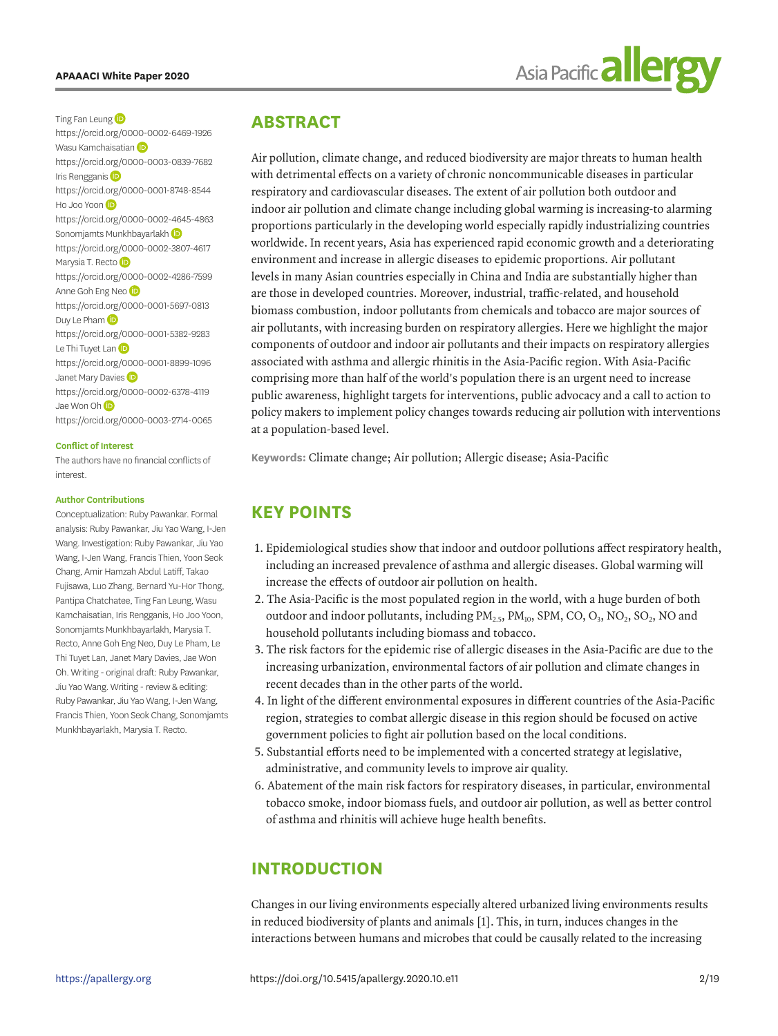

Tin[g](https://orcid.org/0000-0002-6469-1926) Fan Leung<sup>D</sup>

<https://orcid.org/0000-0002-6469-1926> Wasu Kamchaisatian <https://orcid.org/0000-0003-0839-7682> Iri[s](https://orcid.org/0000-0001-8748-8544) Rengganis<sup>D</sup> <https://orcid.org/0000-0001-8748-8544> Ho Joo Yoon<sup>D</sup> <https://orcid.org/0000-0002-4645-4863> Sonomjamts Munkhbayarlakh<sup>D</sup> <https://orcid.org/0000-0002-3807-4617> Marysia T. Recto<sup>D</sup> <https://orcid.org/0000-0002-4286-7599> Anne Goh Eng Ne[o](https://orcid.org/0000-0001-5697-0813) D <https://orcid.org/0000-0001-5697-0813> Duy Le Pha[m](https://orcid.org/0000-0001-5382-9283) **D** <https://orcid.org/0000-0001-5382-9283> Le Thi Tuyet La[n](https://orcid.org/0000-0001-8899-1096) D <https://orcid.org/0000-0001-8899-1096> Janet Mary Davie[s](https://orcid.org/0000-0002-6378-4119) (D <https://orcid.org/0000-0002-6378-4119> Jae Won Oh<sup>D</sup> <https://orcid.org/0000-0003-2714-0065> **Conflict of Interest**

The authors have no financial conflicts of interest.

#### **Author Contributions**

Conceptualization: Ruby Pawankar. Formal analysis: Ruby Pawankar, Jiu Yao Wang, I-Jen Wang. Investigation: Ruby Pawankar, Jiu Yao Wang, I-Jen Wang, Francis Thien, Yoon Seok Chang, Amir Hamzah Abdul Latiff, Takao Fujisawa, Luo Zhang, Bernard Yu-Hor Thong, Pantipa Chatchatee, Ting Fan Leung, Wasu Kamchaisatian, Iris Rengganis, Ho Joo Yoon, Sonomjamts Munkhbayarlakh, Marysia T. Recto, Anne Goh Eng Neo, Duy Le Pham, Le Thi Tuyet Lan, Janet Mary Davies, Jae Won Oh. Writing - original draft: Ruby Pawankar, Jiu Yao Wang. Writing - review & editing: Ruby Pawankar, Jiu Yao Wang, I-Jen Wang, Francis Thien, Yoon Seok Chang, Sonomjamts Munkhbayarlakh, Marysia T. Recto.

# **ABSTRACT**

Air pollution, climate change, and reduced biodiversity are major threats to human health with detrimental effects on a variety of chronic noncommunicable diseases in particular respiratory and cardiovascular diseases. The extent of air pollution both outdoor and indoor air pollution and climate change including global warming is increasing-to alarming proportions particularly in the developing world especially rapidly industrializing countries worldwide. In recent years, Asia has experienced rapid economic growth and a deteriorating environment and increase in allergic diseases to epidemic proportions. Air pollutant levels in many Asian countries especially in China and India are substantially higher than are those in developed countries. Moreover, industrial, traffic-related, and household biomass combustion, indoor pollutants from chemicals and tobacco are major sources of air pollutants, with increasing burden on respiratory allergies. Here we highlight the major components of outdoor and indoor air pollutants and their impacts on respiratory allergies associated with asthma and allergic rhinitis in the Asia-Pacific region. With Asia-Pacific comprising more than half of the world's population there is an urgent need to increase public awareness, highlight targets for interventions, public advocacy and a call to action to policy makers to implement policy changes towards reducing air pollution with interventions at a population-based level.

**Keywords:** Climate change; Air pollution; Allergic disease; Asia-Pacific

# **KEY POINTS**

- 1. Epidemiological studies show that indoor and outdoor pollutions affect respiratory health, including an increased prevalence of asthma and allergic diseases. Global warming will increase the effects of outdoor air pollution on health.
- 2. The Asia-Pacific is the most populated region in the world, with a huge burden of both outdoor and indoor pollutants, including  $PM_{2.5}$ ,  $PM_{10}$ ,  $SPM$ ,  $CO$ ,  $O_3$ ,  $NO_2$ ,  $SO_2$ ,  $NO$  and household pollutants including biomass and tobacco.
- 3. The risk factors for the epidemic rise of allergic diseases in the Asia-Pacific are due to the increasing urbanization, environmental factors of air pollution and climate changes in recent decades than in the other parts of the world.
- 4. In light of the different environmental exposures in different countries of the Asia-Pacific region, strategies to combat allergic disease in this region should be focused on active government policies to fight air pollution based on the local conditions.
- 5. Substantial efforts need to be implemented with a concerted strategy at legislative, administrative, and community levels to improve air quality.
- 6. Abatement of the main risk factors for respiratory diseases, in particular, environmental tobacco smoke, indoor biomass fuels, and outdoor air pollution, as well as better control of asthma and rhinitis will achieve huge health benefits.

# **INTRODUCTION**

Changes in our living environments especially altered urbanized living environments results in reduced biodiversity of plants and animals [\[1](#page-15-0)]. This, in turn, induces changes in the interactions between humans and microbes that could be causally related to the increasing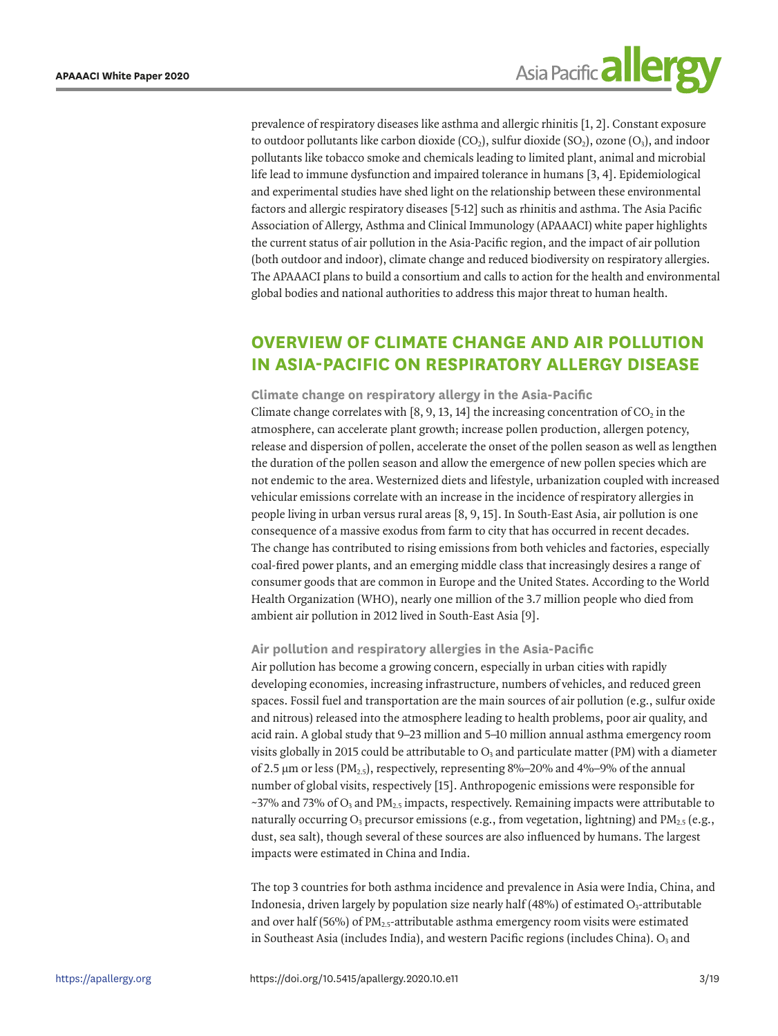

<span id="page-2-2"></span><span id="page-2-0"></span>prevalence of respiratory diseases like asthma and allergic rhinitis [\[1,](#page-15-0) [2\]](#page-15-1). Constant exposure to outdoor pollutants like carbon dioxide  $(CO<sub>2</sub>)$ , sulfur dioxide  $(SO<sub>2</sub>)$ , ozone  $(O<sub>3</sub>)$ , and indoor pollutants like tobacco smoke and chemicals leading to limited plant, animal and microbial life lead to immune dysfunction and impaired tolerance in humans [\[3,](#page-15-2) [4](#page-15-3)]. Epidemiological and experimental studies have shed light on the relationship between these environmental factors and allergic respiratory diseases [\[5](#page-15-4)[-12\]](#page-15-5) such as rhinitis and asthma. The Asia Pacific Association of Allergy, Asthma and Clinical Immunology (APAAACI) white paper highlights the current status of air pollution in the Asia-Pacific region, and the impact of air pollution (both outdoor and indoor), climate change and reduced biodiversity on respiratory allergies. The APAAACI plans to build a consortium and calls to action for the health and environmental global bodies and national authorities to address this major threat to human health.

# **OVERVIEW OF CLIMATE CHANGE AND AIR POLLUTION IN ASIA-PACIFIC ON RESPIRATORY ALLERGY DISEASE**

<span id="page-2-3"></span><span id="page-2-1"></span>**Climate change on respiratory allergy in the Asia-Pacific** Climate change correlates with [\[8,](#page-15-6) [9](#page-15-7), [13,](#page-15-8) [14](#page-15-9)] the increasing concentration of  $CO<sub>2</sub>$  in the atmosphere, can accelerate plant growth; increase pollen production, allergen potency, release and dispersion of pollen, accelerate the onset of the pollen season as well as lengthen the duration of the pollen season and allow the emergence of new pollen species which are not endemic to the area. Westernized diets and lifestyle, urbanization coupled with increased vehicular emissions correlate with an increase in the incidence of respiratory allergies in people living in urban versus rural areas [[8,](#page-15-6) [9,](#page-15-7) [15\]](#page-15-10). In South-East Asia, air pollution is one consequence of a massive exodus from farm to city that has occurred in recent decades. The change has contributed to rising emissions from both vehicles and factories, especially coal-fired power plants, and an emerging middle class that increasingly desires a range of consumer goods that are common in Europe and the United States. According to the World Health Organization (WHO), nearly one million of the 3.7 million people who died from ambient air pollution in 2012 lived in South-East Asia [\[9](#page-15-7)].

#### **Air pollution and respiratory allergies in the Asia-Pacific**

Air pollution has become a growing concern, especially in urban cities with rapidly developing economies, increasing infrastructure, numbers of vehicles, and reduced green spaces. Fossil fuel and transportation are the main sources of air pollution (e.g., sulfur oxide and nitrous) released into the atmosphere leading to health problems, poor air quality, and acid rain. A global study that 9–23 million and 5–10 million annual asthma emergency room visits globally in 2015 could be attributable to  $O<sub>3</sub>$  and particulate matter (PM) with a diameter of 2.5  $\mu$ m or less (PM<sub>2.5</sub>), respectively, representing 8%–20% and 4%–9% of the annual number of global visits, respectively [[15\]](#page-15-10). Anthropogenic emissions were responsible for ~37% and 73% of  $O_3$  and PM<sub>2.5</sub> impacts, respectively. Remaining impacts were attributable to naturally occurring  $O_3$  precursor emissions (e.g., from vegetation, lightning) and PM<sub>2.5</sub> (e.g., dust, sea salt), though several of these sources are also influenced by humans. The largest impacts were estimated in China and India.

The top 3 countries for both asthma incidence and prevalence in Asia were India, China, and Indonesia, driven largely by population size nearly half  $(48%)$  of estimated O<sub>3</sub>-attributable and over half (56%) of PM<sub>2.5</sub>-attributable asthma emergency room visits were estimated in Southeast Asia (includes India), and western Pacific regions (includes China).  $O<sub>3</sub>$  and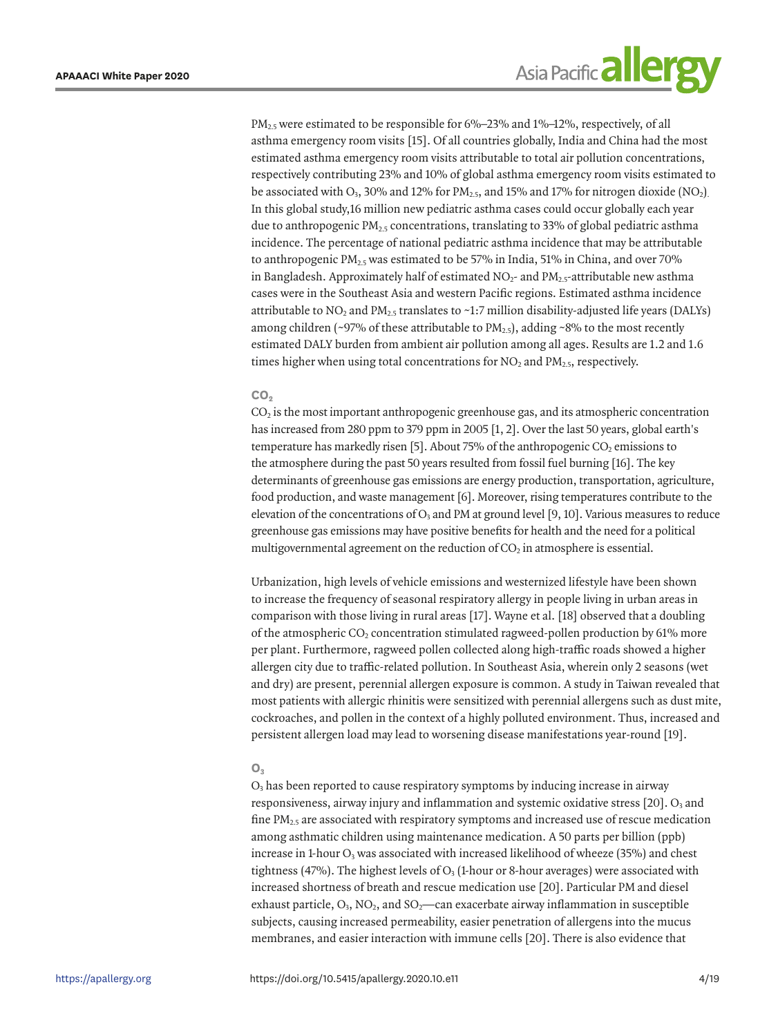

<span id="page-3-2"></span> $PM_{25}$  were estimated to be responsible for 6%–23% and 1%–12%, respectively, of all asthma emergency room visits [\[15\]](#page-15-10). Of all countries globally, India and China had the most estimated asthma emergency room visits attributable to total air pollution concentrations, respectively contributing 23% and 10% of global asthma emergency room visits estimated to be associated with  $O_3$ , 30% and 12% for PM<sub>2.5</sub>, and 15% and 17% for nitrogen dioxide (NO<sub>2</sub>). In this global study,16 million new pediatric asthma cases could occur globally each year due to anthropogenic  $PM<sub>25</sub>$  concentrations, translating to 33% of global pediatric asthma incidence. The percentage of national pediatric asthma incidence that may be attributable to anthropogenic PM<sub>2.5</sub> was estimated to be 57% in India, 51% in China, and over 70% in Bangladesh. Approximately half of estimated  $NO<sub>2</sub>$ - and  $PM<sub>25</sub>$ -attributable new asthma cases were in the Southeast Asia and western Pacific regions. Estimated asthma incidence attributable to NO<sub>2</sub> and PM<sub>25</sub> translates to  $\sim$ 1:7 million disability-adjusted life years (DALYs) among children (~97% of these attributable to  $PM_{25}$ ), adding ~8% to the most recently estimated DALY burden from ambient air pollution among all ages. Results are 1.2 and 1.6 times higher when using total concentrations for  $NO<sub>2</sub>$  and  $PM<sub>2.5</sub>$ , respectively.

#### CO<sub>2</sub>

<span id="page-3-3"></span><span id="page-3-1"></span><span id="page-3-0"></span>CO2 is the most important anthropogenic greenhouse gas, and its atmospheric concentration has increased from 280 ppm to 379 ppm in 2005 [\[1,](#page-15-0) [2](#page-15-1)]. Over the last 50 years, global earth's temperature has markedly risen [\[5](#page-15-4)]. About 75% of the anthropogenic  $CO<sub>2</sub>$  emissions to the atmosphere during the past 50 years resulted from fossil fuel burning [\[16\]](#page-16-0). The key determinants of greenhouse gas emissions are energy production, transportation, agriculture, food production, and waste management [\[6\]](#page-15-11). Moreover, rising temperatures contribute to the elevation of the concentrations of  $O_3$  and PM at ground level [\[9](#page-15-7), [10](#page-15-12)]. Various measures to reduce greenhouse gas emissions may have positive benefits for health and the need for a political multigovernmental agreement on the reduction of  $CO<sub>2</sub>$  in atmosphere is essential.

<span id="page-3-4"></span>Urbanization, high levels of vehicle emissions and westernized lifestyle have been shown to increase the frequency of seasonal respiratory allergy in people living in urban areas in comparison with those living in rural areas [[17\]](#page-16-1). Wayne et al. [\[18\]](#page-16-2) observed that a doubling of the atmospheric  $CO<sub>2</sub>$  concentration stimulated ragweed-pollen production by 61% more per plant. Furthermore, ragweed pollen collected along high-traffic roads showed a higher allergen city due to traffic-related pollution. In Southeast Asia, wherein only 2 seasons (wet and dry) are present, perennial allergen exposure is common. A study in Taiwan revealed that most patients with allergic rhinitis were sensitized with perennial allergens such as dust mite, cockroaches, and pollen in the context of a highly polluted environment. Thus, increased and persistent allergen load may lead to worsening disease manifestations year-round [\[19\]](#page-16-3).

#### <span id="page-3-5"></span> $\mathbf{O}_3$

 $O<sub>3</sub>$  has been reported to cause respiratory symptoms by inducing increase in airway responsiveness, airway injury and inflammation and systemic oxidative stress  $[20]$  $[20]$  $[20]$ .  $O_3$  and fine  $PM<sub>25</sub>$  are associated with respiratory symptoms and increased use of rescue medication among asthmatic children using maintenance medication. A 50 parts per billion (ppb) increase in 1-hour  $O_3$  was associated with increased likelihood of wheeze (35%) and chest tightness (47%). The highest levels of  $O<sub>3</sub>$  (1-hour or 8-hour averages) were associated with increased shortness of breath and rescue medication use [[20\]](#page-16-4). Particular PM and diesel exhaust particle,  $O_3$ , NO<sub>2</sub>, and SO<sub>2</sub>—can exacerbate airway inflammation in susceptible subjects, causing increased permeability, easier penetration of allergens into the mucus membranes, and easier interaction with immune cells [\[20](#page-16-4)]. There is also evidence that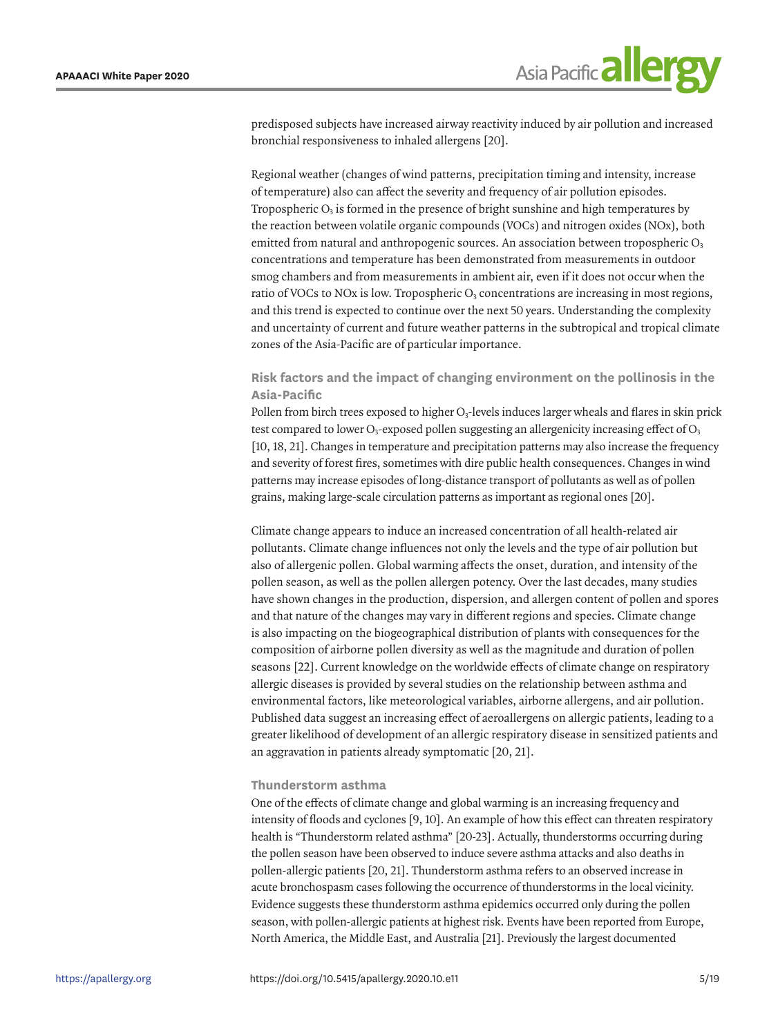predisposed subjects have increased airway reactivity induced by air pollution and increased bronchial responsiveness to inhaled allergens [[20](#page-16-4)].

Regional weather (changes of wind patterns, precipitation timing and intensity, increase of temperature) also can affect the severity and frequency of air pollution episodes. Tropospheric  $O<sub>3</sub>$  is formed in the presence of bright sunshine and high temperatures by the reaction between volatile organic compounds (VOCs) and nitrogen oxides (NOx), both emitted from natural and anthropogenic sources. An association between tropospheric  $O<sub>3</sub>$ concentrations and temperature has been demonstrated from measurements in outdoor smog chambers and from measurements in ambient air, even if it does not occur when the ratio of VOCs to NOx is low. Tropospheric  $O<sub>3</sub>$  concentrations are increasing in most regions, and this trend is expected to continue over the next 50 years. Understanding the complexity and uncertainty of current and future weather patterns in the subtropical and tropical climate zones of the Asia-Pacific are of particular importance.

#### **Risk factors and the impact of changing environment on the pollinosis in the Asia-Pacific**

<span id="page-4-1"></span>Pollen from birch trees exposed to higher O<sub>3</sub>-levels induces larger wheals and flares in skin prick test compared to lower  $O_3$ -exposed pollen suggesting an allergenicity increasing effect of  $O_3$ [[10](#page-15-12), [18](#page-16-2), [21\]](#page-16-5). Changes in temperature and precipitation patterns may also increase the frequency and severity of forest fires, sometimes with dire public health consequences. Changes in wind patterns may increase episodes of long-distance transport of pollutants as well as of pollen grains, making large-scale circulation patterns as important as regional ones [\[20](#page-16-4)].

Climate change appears to induce an increased concentration of all health-related air pollutants. Climate change influences not only the levels and the type of air pollution but also of allergenic pollen. Global warming affects the onset, duration, and intensity of the pollen season, as well as the pollen allergen potency. Over the last decades, many studies have shown changes in the production, dispersion, and allergen content of pollen and spores and that nature of the changes may vary in different regions and species. Climate change is also impacting on the biogeographical distribution of plants with consequences for the composition of airborne pollen diversity as well as the magnitude and duration of pollen seasons [\[22](#page-16-6)]. Current knowledge on the worldwide effects of climate change on respiratory allergic diseases is provided by several studies on the relationship between asthma and environmental factors, like meteorological variables, airborne allergens, and air pollution. Published data suggest an increasing effect of aeroallergens on allergic patients, leading to a greater likelihood of development of an allergic respiratory disease in sensitized patients and an aggravation in patients already symptomatic [[20,](#page-16-4) [21\]](#page-16-5).

#### <span id="page-4-4"></span>**Thunderstorm asthma**

<span id="page-4-3"></span><span id="page-4-2"></span><span id="page-4-0"></span>One of the effects of climate change and global warming is an increasing frequency and intensity of floods and cyclones [\[9,](#page-15-7) [10](#page-15-12)]. An example of how this effect can threaten respiratory health is "Thunderstorm related asthma" [\[20](#page-16-4)[-23](#page-16-7)]. Actually, thunderstorms occurring during the pollen season have been observed to induce severe asthma attacks and also deaths in pollen-allergic patients [[20](#page-16-4), [21](#page-16-5)]. Thunderstorm asthma refers to an observed increase in acute bronchospasm cases following the occurrence of thunderstorms in the local vicinity. Evidence suggests these thunderstorm asthma epidemics occurred only during the pollen season, with pollen-allergic patients at highest risk. Events have been reported from Europe, North America, the Middle East, and Australia [\[21](#page-16-5)]. Previously the largest documented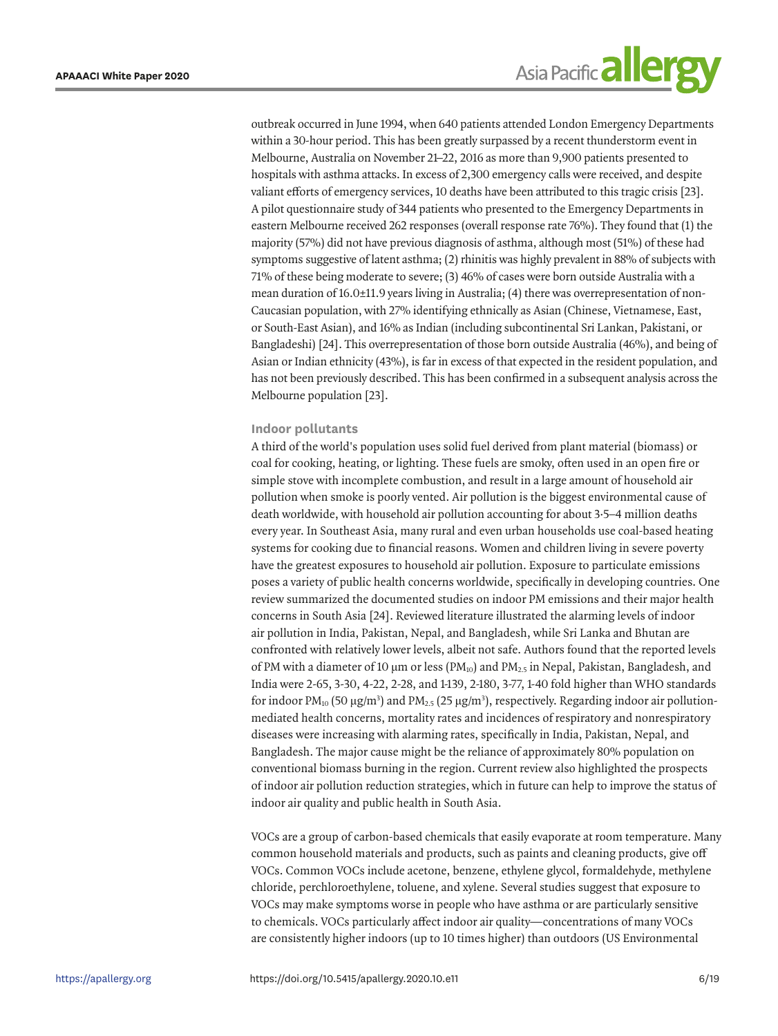outbreak occurred in June 1994, when 640 patients attended London Emergency Departments within a 30-hour period. This has been greatly surpassed by a recent thunderstorm event in Melbourne, Australia on November 21–22, 2016 as more than 9,900 patients presented to hospitals with asthma attacks. In excess of 2,300 emergency calls were received, and despite valiant efforts of emergency services, 10 deaths have been attributed to this tragic crisis [\[23](#page-16-7)]. A pilot questionnaire study of 344 patients who presented to the Emergency Departments in eastern Melbourne received 262 responses (overall response rate 76%). They found that (1) the majority (57%) did not have previous diagnosis of asthma, although most (51%) of these had symptoms suggestive of latent asthma; (2) rhinitis was highly prevalent in 88% of subjects with 71% of these being moderate to severe; (3) 46% of cases were born outside Australia with a mean duration of 16.0±11.9 years living in Australia; (4) there was overrepresentation of non-Caucasian population, with 27% identifying ethnically as Asian (Chinese, Vietnamese, East, or South-East Asian), and 16% as Indian (including subcontinental Sri Lankan, Pakistani, or Bangladeshi) [\[24\]](#page-16-8). This overrepresentation of those born outside Australia (46%), and being of Asian or Indian ethnicity (43%), is far in excess of that expected in the resident population, and has not been previously described. This has been confirmed in a subsequent analysis across the Melbourne population [\[23](#page-16-7)].

#### **Indoor pollutants**

<span id="page-5-0"></span>A third of the world's population uses solid fuel derived from plant material (biomass) or coal for cooking, heating, or lighting. These fuels are smoky, often used in an open fire or simple stove with incomplete combustion, and result in a large amount of household air pollution when smoke is poorly vented. Air pollution is the biggest environmental cause of death worldwide, with household air pollution accounting for about 3·5–4 million deaths every year. In Southeast Asia, many rural and even urban households use coal-based heating systems for cooking due to financial reasons. Women and children living in severe poverty have the greatest exposures to household air pollution. Exposure to particulate emissions poses a variety of public health concerns worldwide, specifically in developing countries. One review summarized the documented studies on indoor PM emissions and their major health concerns in South Asia [[24](#page-16-8)]. Reviewed literature illustrated the alarming levels of indoor air pollution in India, Pakistan, Nepal, and Bangladesh, while Sri Lanka and Bhutan are confronted with relatively lower levels, albeit not safe. Authors found that the reported levels of PM with a diameter of 10  $\mu$ m or less (PM<sub>10</sub>) and PM<sub>2.5</sub> in Nepal, Pakistan, Bangladesh, and India were 2-65, 3-30, 4-22, 2-28, and 1-139, 2-180, 3-77, 1-40 fold higher than WHO standards for indoor PM<sub>10</sub> (50 μg/m<sup>3</sup>) and PM<sub>2.5</sub> (25 μg/m<sup>3</sup>), respectively. Regarding indoor air pollutionmediated health concerns, mortality rates and incidences of respiratory and nonrespiratory diseases were increasing with alarming rates, specifically in India, Pakistan, Nepal, and Bangladesh. The major cause might be the reliance of approximately 80% population on conventional biomass burning in the region. Current review also highlighted the prospects of indoor air pollution reduction strategies, which in future can help to improve the status of indoor air quality and public health in South Asia.

VOCs are a group of carbon-based chemicals that easily evaporate at room temperature. Many common household materials and products, such as paints and cleaning products, give off VOCs. Common VOCs include acetone, benzene, ethylene glycol, formaldehyde, methylene chloride, perchloroethylene, toluene, and xylene. Several studies suggest that exposure to VOCs may make symptoms worse in people who have asthma or are particularly sensitive to chemicals. VOCs particularly affect indoor air quality—concentrations of many VOCs are consistently higher indoors (up to 10 times higher) than outdoors (US Environmental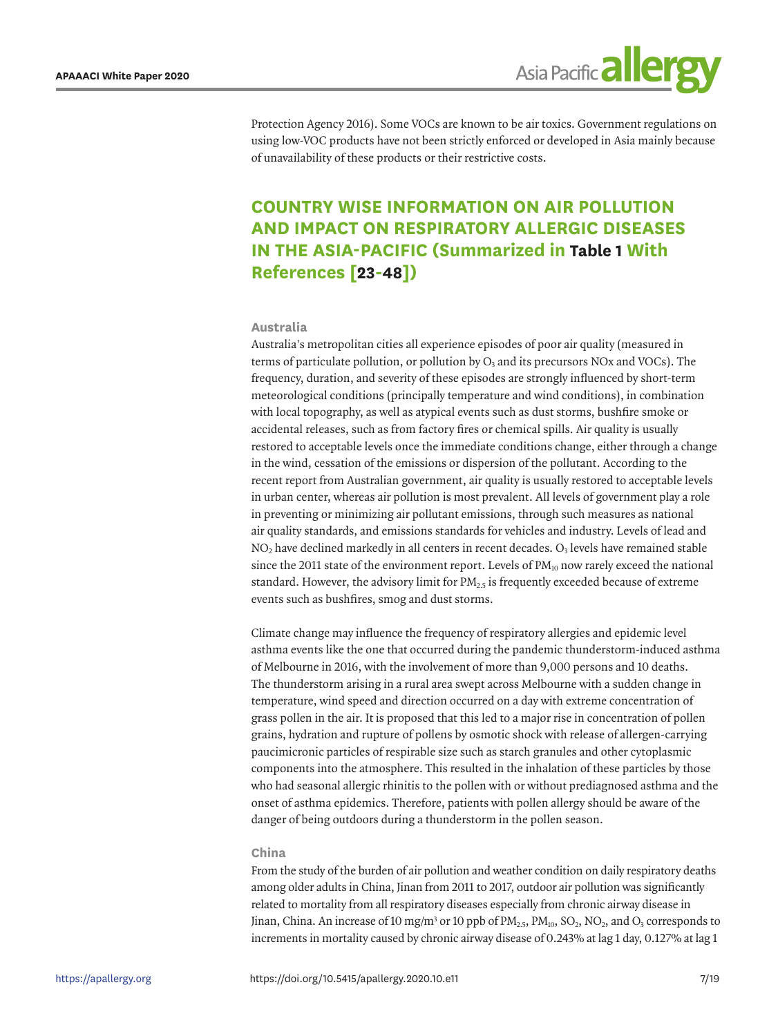Protection Agency 2016). Some VOCs are known to be air toxics. Government regulations on using low-VOC products have not been strictly enforced or developed in Asia mainly because of unavailability of these products or their restrictive costs.

# <span id="page-6-0"></span>**COUNTRY WISE INFORMATION ON AIR POLLUTION AND IMPACT ON RESPIRATORY ALLERGIC DISEASES IN THE ASIA-PACIFIC (Summarized in [Table 1](#page-13-0) With References [[23](#page-16-7)-[48](#page-18-0)])**

#### **Australia**

Australia's metropolitan cities all experience episodes of poor air quality (measured in terms of particulate pollution, or pollution by  $O_3$  and its precursors NOx and VOCs). The frequency, duration, and severity of these episodes are strongly influenced by short-term meteorological conditions (principally temperature and wind conditions), in combination with local topography, as well as atypical events such as dust storms, bushfire smoke or accidental releases, such as from factory fires or chemical spills. Air quality is usually restored to acceptable levels once the immediate conditions change, either through a change in the wind, cessation of the emissions or dispersion of the pollutant. According to the recent report from Australian government, air quality is usually restored to acceptable levels in urban center, whereas air pollution is most prevalent. All levels of government play a role in preventing or minimizing air pollutant emissions, through such measures as national air quality standards, and emissions standards for vehicles and industry. Levels of lead and  $NO<sub>2</sub>$  have declined markedly in all centers in recent decades.  $O<sub>3</sub>$  levels have remained stable since the 2011 state of the environment report. Levels of  $PM_{10}$  now rarely exceed the national standard. However, the advisory limit for  $PM<sub>25</sub>$  is frequently exceeded because of extreme events such as bushfires, smog and dust storms.

Climate change may influence the frequency of respiratory allergies and epidemic level asthma events like the one that occurred during the pandemic thunderstorm-induced asthma of Melbourne in 2016, with the involvement of more than 9,000 persons and 10 deaths. The thunderstorm arising in a rural area swept across Melbourne with a sudden change in temperature, wind speed and direction occurred on a day with extreme concentration of grass pollen in the air. It is proposed that this led to a major rise in concentration of pollen grains, hydration and rupture of pollens by osmotic shock with release of allergen-carrying paucimicronic particles of respirable size such as starch granules and other cytoplasmic components into the atmosphere. This resulted in the inhalation of these particles by those who had seasonal allergic rhinitis to the pollen with or without prediagnosed asthma and the onset of asthma epidemics. Therefore, patients with pollen allergy should be aware of the danger of being outdoors during a thunderstorm in the pollen season.

#### **China**

From the study of the burden of air pollution and weather condition on daily respiratory deaths among older adults in China, Jinan from 2011 to 2017, outdoor air pollution was significantly related to mortality from all respiratory diseases especially from chronic airway disease in Jinan, China. An increase of 10 mg/m<sup>3</sup> or 10 ppb of  $\text{PM}_{2.5}$ ,  $\text{PM}_{10}$ , SO<sub>2</sub>, NO<sub>2</sub>, and O<sub>3</sub> corresponds to increments in mortality caused by chronic airway disease of 0.243% at lag 1 day, 0.127% at lag 1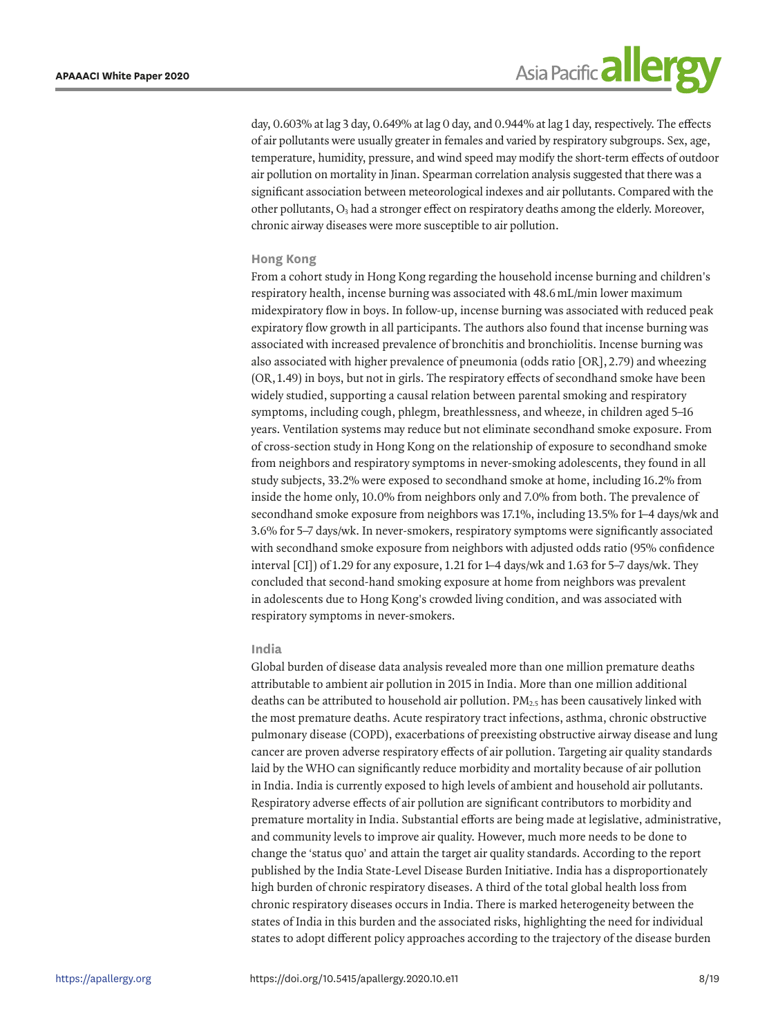day, 0.603% at lag 3 day, 0.649% at lag 0 day, and 0.944% at lag 1 day, respectively. The effects of air pollutants were usually greater in females and varied by respiratory subgroups. Sex, age, temperature, humidity, pressure, and wind speed may modify the short-term effects of outdoor air pollution on mortality in Jinan. Spearman correlation analysis suggested that there was a significant association between meteorological indexes and air pollutants. Compared with the other pollutants,  $O_3$  had a stronger effect on respiratory deaths among the elderly. Moreover, chronic airway diseases were more susceptible to air pollution.

#### **Hong Kong**

From a cohort study in Hong Kong regarding the household incense burning and children's respiratory health, incense burning was associated with 48.6mL/min lower maximum midexpiratory flow in boys. In follow-up, incense burning was associated with reduced peak expiratory flow growth in all participants. The authors also found that incense burning was associated with increased prevalence of bronchitis and bronchiolitis. Incense burning was also associated with higher prevalence of pneumonia (odds ratio [OR], 2.79) and wheezing (OR, 1.49) in boys, but not in girls. The respiratory effects of secondhand smoke have been widely studied, supporting a causal relation between parental smoking and respiratory symptoms, including cough, phlegm, breathlessness, and wheeze, in children aged 5–16 years. Ventilation systems may reduce but not eliminate secondhand smoke exposure. From of cross-section study in Hong Kong on the relationship of exposure to secondhand smoke from neighbors and respiratory symptoms in never-smoking adolescents, they found in all study subjects, 33.2% were exposed to secondhand smoke at home, including 16.2% from inside the home only, 10.0% from neighbors only and 7.0% from both. The prevalence of secondhand smoke exposure from neighbors was 17.1%, including 13.5% for 1–4 days/wk and 3.6% for 5–7 days/wk. In never-smokers, respiratory symptoms were significantly associated with secondhand smoke exposure from neighbors with adjusted odds ratio (95% confidence interval [CI]) of 1.29 for any exposure, 1.21 for 1–4 days/wk and 1.63 for 5–7 days/wk. They concluded that second-hand smoking exposure at home from neighbors was prevalent in adolescents due to Hong Kong's crowded living condition, and was associated with respiratory symptoms in never-smokers.

#### **India**

Global burden of disease data analysis revealed more than one million premature deaths attributable to ambient air pollution in 2015 in India. More than one million additional deaths can be attributed to household air pollution.  $PM<sub>25</sub>$  has been causatively linked with the most premature deaths. Acute respiratory tract infections, asthma, chronic obstructive pulmonary disease (COPD), exacerbations of preexisting obstructive airway disease and lung cancer are proven adverse respiratory effects of air pollution. Targeting air quality standards laid by the WHO can significantly reduce morbidity and mortality because of air pollution in India. India is currently exposed to high levels of ambient and household air pollutants. Respiratory adverse effects of air pollution are significant contributors to morbidity and premature mortality in India. Substantial efforts are being made at legislative, administrative, and community levels to improve air quality. However, much more needs to be done to change the 'status quo' and attain the target air quality standards. According to the report published by the India State-Level Disease Burden Initiative. India has a disproportionately high burden of chronic respiratory diseases. A third of the total global health loss from chronic respiratory diseases occurs in India. There is marked heterogeneity between the states of India in this burden and the associated risks, highlighting the need for individual states to adopt different policy approaches according to the trajectory of the disease burden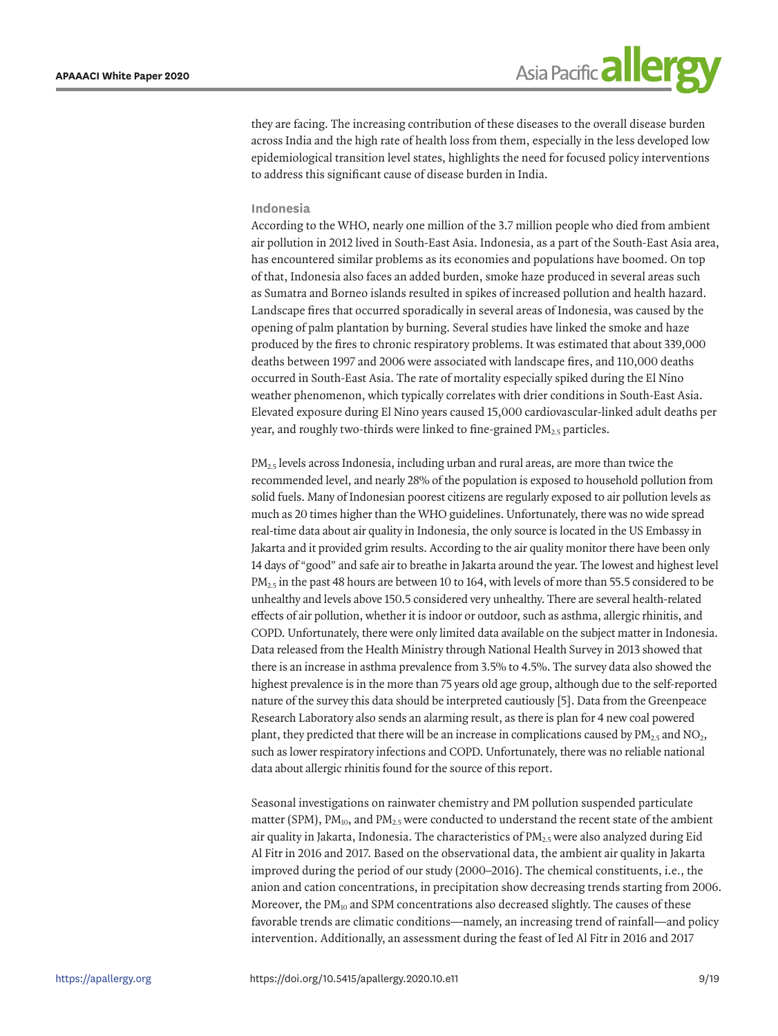they are facing. The increasing contribution of these diseases to the overall disease burden across India and the high rate of health loss from them, especially in the less developed low epidemiological transition level states, highlights the need for focused policy interventions to address this significant cause of disease burden in India.

#### **Indonesia**

According to the WHO, nearly one million of the 3.7 million people who died from ambient air pollution in 2012 lived in South-East Asia. Indonesia, as a part of the South-East Asia area, has encountered similar problems as its economies and populations have boomed. On top of that, Indonesia also faces an added burden, smoke haze produced in several areas such as Sumatra and Borneo islands resulted in spikes of increased pollution and health hazard. Landscape fires that occurred sporadically in several areas of Indonesia, was caused by the opening of palm plantation by burning. Several studies have linked the smoke and haze produced by the fires to chronic respiratory problems. It was estimated that about 339,000 deaths between 1997 and 2006 were associated with landscape fires, and 110,000 deaths occurred in South-East Asia. The rate of mortality especially spiked during the El Nino weather phenomenon, which typically correlates with drier conditions in South-East Asia. Elevated exposure during El Nino years caused 15,000 cardiovascular-linked adult deaths per year, and roughly two-thirds were linked to fine-grained  $PM<sub>25</sub>$  particles.

 $PM<sub>2.5</sub>$  levels across Indonesia, including urban and rural areas, are more than twice the recommended level, and nearly 28% of the population is exposed to household pollution from solid fuels. Many of Indonesian poorest citizens are regularly exposed to air pollution levels as much as 20 times higher than the WHO guidelines. Unfortunately, there was no wide spread real-time data about air quality in Indonesia, the only source is located in the US Embassy in Jakarta and it provided grim results. According to the air quality monitor there have been only 14 days of "good" and safe air to breathe in Jakarta around the year. The lowest and highest level  $PM_{25}$  in the past 48 hours are between 10 to 164, with levels of more than 55.5 considered to be unhealthy and levels above 150.5 considered very unhealthy. There are several health-related effects of air pollution, whether it is indoor or outdoor, such as asthma, allergic rhinitis, and COPD. Unfortunately, there were only limited data available on the subject matter in Indonesia. Data released from the Health Ministry through National Health Survey in 2013 showed that there is an increase in asthma prevalence from 3.5% to 4.5%. The survey data also showed the highest prevalence is in the more than 75 years old age group, although due to the self-reported nature of the survey this data should be interpreted cautiously [[5](#page-15-4)]. Data from the Greenpeace Research Laboratory also sends an alarming result, as there is plan for 4 new coal powered plant, they predicted that there will be an increase in complications caused by  $PM_{2.5}$  and  $NO_2$ , such as lower respiratory infections and COPD. Unfortunately, there was no reliable national data about allergic rhinitis found for the source of this report.

<span id="page-8-0"></span>Seasonal investigations on rainwater chemistry and PM pollution suspended particulate matter (SPM),  $PM_{10}$ , and  $PM_{2.5}$  were conducted to understand the recent state of the ambient air quality in Jakarta, Indonesia. The characteristics of  $PM<sub>2.5</sub>$  were also analyzed during Eid Al Fitr in 2016 and 2017. Based on the observational data, the ambient air quality in Jakarta improved during the period of our study (2000–2016). The chemical constituents, i.e., the anion and cation concentrations, in precipitation show decreasing trends starting from 2006. Moreover, the  $PM_{10}$  and SPM concentrations also decreased slightly. The causes of these favorable trends are climatic conditions—namely, an increasing trend of rainfall—and policy intervention. Additionally, an assessment during the feast of Ied Al Fitr in 2016 and 2017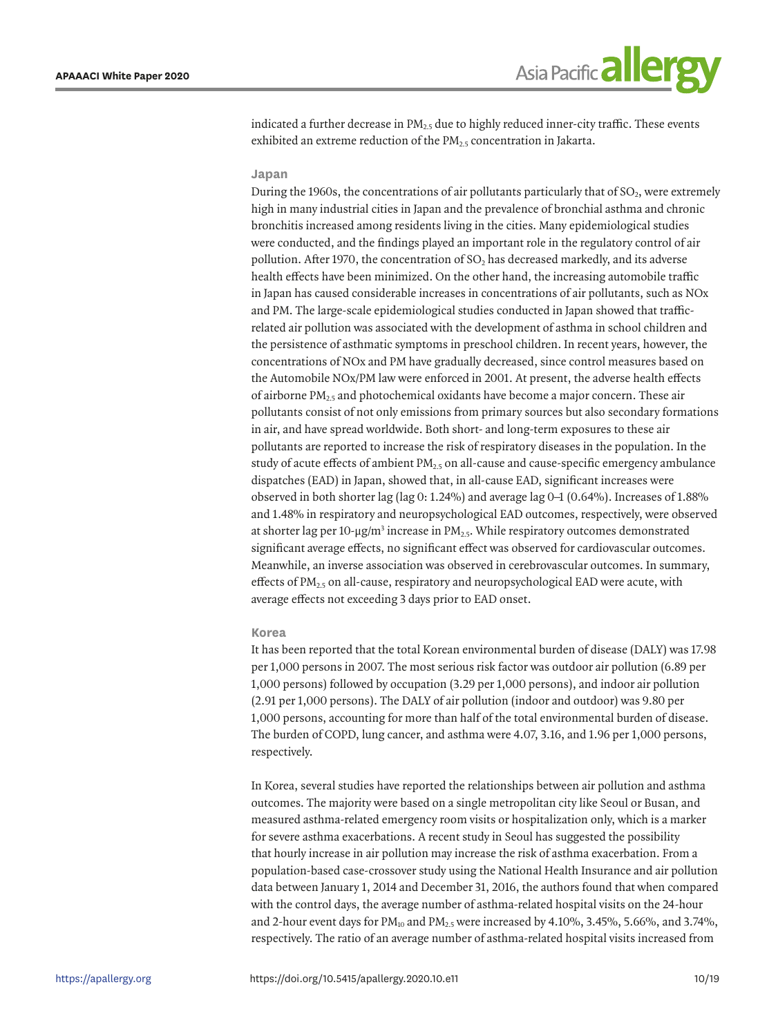indicated a further decrease in  $PM<sub>2.5</sub>$  due to highly reduced inner-city traffic. These events exhibited an extreme reduction of the  $PM_{2.5}$  concentration in Jakarta.

#### **Japan**

During the 1960s, the concentrations of air pollutants particularly that of  $SO<sub>2</sub>$ , were extremely high in many industrial cities in Japan and the prevalence of bronchial asthma and chronic bronchitis increased among residents living in the cities. Many epidemiological studies were conducted, and the findings played an important role in the regulatory control of air pollution. After 1970, the concentration of  $SO<sub>2</sub>$  has decreased markedly, and its adverse health effects have been minimized. On the other hand, the increasing automobile traffic in Japan has caused considerable increases in concentrations of air pollutants, such as NOx and PM. The large-scale epidemiological studies conducted in Japan showed that trafficrelated air pollution was associated with the development of asthma in school children and the persistence of asthmatic symptoms in preschool children. In recent years, however, the concentrations of NOx and PM have gradually decreased, since control measures based on the Automobile NOx/PM law were enforced in 2001. At present, the adverse health effects of airborne  $PM_{2,5}$  and photochemical oxidants have become a major concern. These air pollutants consist of not only emissions from primary sources but also secondary formations in air, and have spread worldwide. Both short- and long-term exposures to these air pollutants are reported to increase the risk of respiratory diseases in the population. In the study of acute effects of ambient  $PM_{2.5}$  on all-cause and cause-specific emergency ambulance dispatches (EAD) in Japan, showed that, in all-cause EAD, significant increases were observed in both shorter lag (lag  $0: 1.24\%$ ) and average lag  $0-1$  (0.64%). Increases of 1.88% and 1.48% in respiratory and neuropsychological EAD outcomes, respectively, were observed at shorter lag per 10- $\mu$ g/m<sup>3</sup> increase in PM<sub>2.5</sub>. While respiratory outcomes demonstrated significant average effects, no significant effect was observed for cardiovascular outcomes. Meanwhile, an inverse association was observed in cerebrovascular outcomes. In summary, effects of  $PM<sub>25</sub>$  on all-cause, respiratory and neuropsychological EAD were acute, with average effects not exceeding 3 days prior to EAD onset.

#### **Korea**

It has been reported that the total Korean environmental burden of disease (DALY) was 17.98 per 1,000 persons in 2007. The most serious risk factor was outdoor air pollution (6.89 per 1,000 persons) followed by occupation (3.29 per 1,000 persons), and indoor air pollution (2.91 per 1,000 persons). The DALY of air pollution (indoor and outdoor) was 9.80 per 1,000 persons, accounting for more than half of the total environmental burden of disease. The burden of COPD, lung cancer, and asthma were 4.07, 3.16, and 1.96 per 1,000 persons, respectively.

In Korea, several studies have reported the relationships between air pollution and asthma outcomes. The majority were based on a single metropolitan city like Seoul or Busan, and measured asthma-related emergency room visits or hospitalization only, which is a marker for severe asthma exacerbations. A recent study in Seoul has suggested the possibility that hourly increase in air pollution may increase the risk of asthma exacerbation. From a population-based case-crossover study using the National Health Insurance and air pollution data between January 1, 2014 and December 31, 2016, the authors found that when compared with the control days, the average number of asthma-related hospital visits on the 24-hour and 2-hour event days for  $PM_{10}$  and  $PM_{25}$  were increased by 4.10%, 3.45%, 5.66%, and 3.74%, respectively. The ratio of an average number of asthma-related hospital visits increased from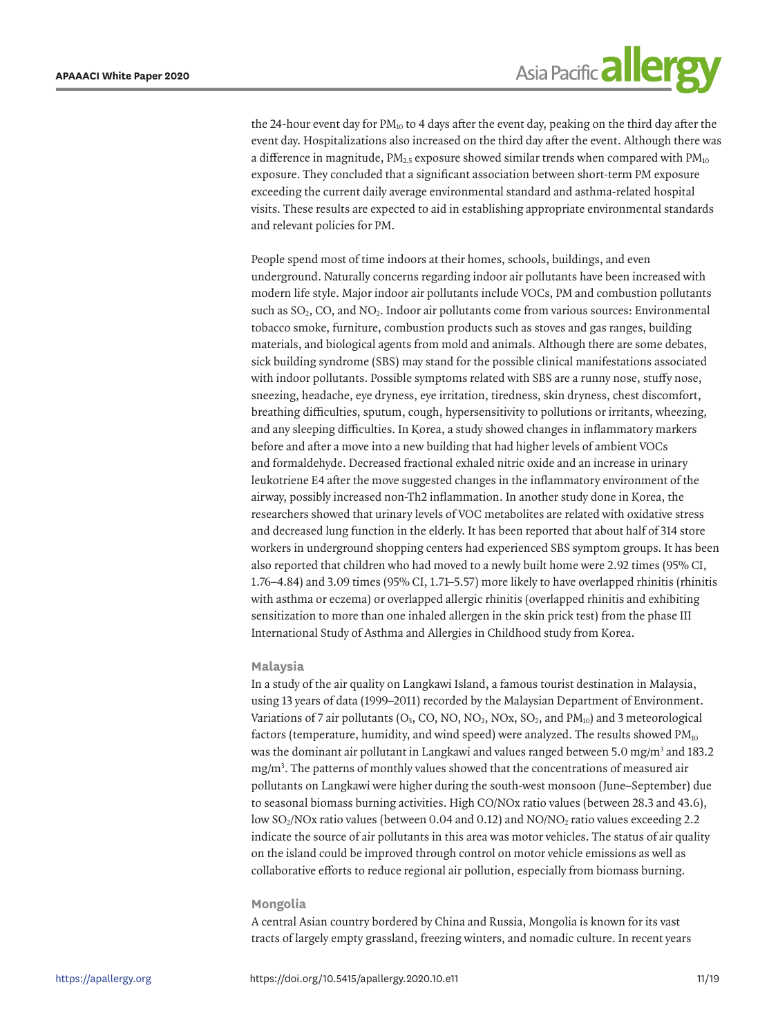the 24-hour event day for  $PM_{10}$  to 4 days after the event day, peaking on the third day after the event day. Hospitalizations also increased on the third day after the event. Although there was a difference in magnitude,  $PM_{2.5}$  exposure showed similar trends when compared with  $PM_{10}$ exposure. They concluded that a significant association between short-term PM exposure exceeding the current daily average environmental standard and asthma-related hospital visits. These results are expected to aid in establishing appropriate environmental standards and relevant policies for PM.

People spend most of time indoors at their homes, schools, buildings, and even underground. Naturally concerns regarding indoor air pollutants have been increased with modern life style. Major indoor air pollutants include VOCs, PM and combustion pollutants such as SO<sub>2</sub>, CO, and NO<sub>2</sub>, Indoor air pollutants come from various sources: Environmental tobacco smoke, furniture, combustion products such as stoves and gas ranges, building materials, and biological agents from mold and animals. Although there are some debates, sick building syndrome (SBS) may stand for the possible clinical manifestations associated with indoor pollutants. Possible symptoms related with SBS are a runny nose, stuffy nose, sneezing, headache, eye dryness, eye irritation, tiredness, skin dryness, chest discomfort, breathing difficulties, sputum, cough, hypersensitivity to pollutions or irritants, wheezing, and any sleeping difficulties. In Korea, a study showed changes in inflammatory markers before and after a move into a new building that had higher levels of ambient VOCs and formaldehyde. Decreased fractional exhaled nitric oxide and an increase in urinary leukotriene E4 after the move suggested changes in the inflammatory environment of the airway, possibly increased non-Th2 inflammation. In another study done in Korea, the researchers showed that urinary levels of VOC metabolites are related with oxidative stress and decreased lung function in the elderly. It has been reported that about half of 314 store workers in underground shopping centers had experienced SBS symptom groups. It has been also reported that children who had moved to a newly built home were 2.92 times (95% CI, 1.76–4.84) and 3.09 times (95% CI, 1.71–5.57) more likely to have overlapped rhinitis (rhinitis with asthma or eczema) or overlapped allergic rhinitis (overlapped rhinitis and exhibiting sensitization to more than one inhaled allergen in the skin prick test) from the phase III International Study of Asthma and Allergies in Childhood study from Korea.

#### **Malaysia**

In a study of the air quality on Langkawi Island, a famous tourist destination in Malaysia, using 13 years of data (1999–2011) recorded by the Malaysian Department of Environment. Variations of 7 air pollutants ( $O_3$ , CO, NO, NO<sub>2</sub>, NOx, SO<sub>2</sub>, and PM<sub>10</sub>) and 3 meteorological factors (temperature, humidity, and wind speed) were analyzed. The results showed  $PM_{10}$ was the dominant air pollutant in Langkawi and values ranged between 5.0 mg/m<sup>3</sup> and 183.2 mg/m<sup>3</sup>. The patterns of monthly values showed that the concentrations of measured air pollutants on Langkawi were higher during the south-west monsoon (June–September) due to seasonal biomass burning activities. High CO/NOx ratio values (between 28.3 and 43.6), low  $SO<sub>2</sub>/NOx$  ratio values (between 0.04 and 0.12) and NO/NO<sub>2</sub> ratio values exceeding 2.2 indicate the source of air pollutants in this area was motor vehicles. The status of air quality on the island could be improved through control on motor vehicle emissions as well as collaborative efforts to reduce regional air pollution, especially from biomass burning.

#### **Mongolia**

A central Asian country bordered by China and Russia, Mongolia is known for its vast tracts of largely empty grassland, freezing winters, and nomadic culture. In recent years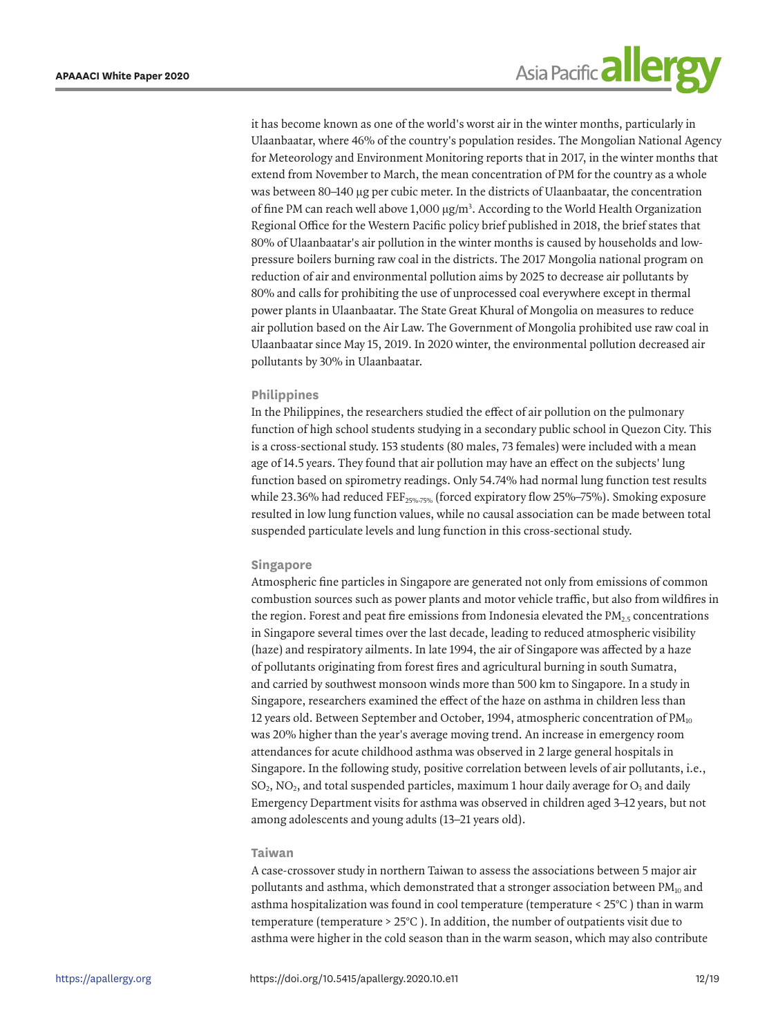it has become known as one of the world's worst air in the winter months, particularly in Ulaanbaatar, where 46% of the country's population resides. The Mongolian National Agency for Meteorology and Environment Monitoring reports that in 2017, in the winter months that extend from November to March, the mean concentration of PM for the country as a whole was between 80–140 μg per cubic meter. In the districts of Ulaanbaatar, the concentration of fine PM can reach well above  $1,000 \mu g/m<sup>3</sup>$ . According to the World Health Organization Regional Office for the Western Pacific policy brief published in 2018, the brief states that 80% of Ulaanbaatar's air pollution in the winter months is caused by households and lowpressure boilers burning raw coal in the districts. The 2017 Mongolia national program on reduction of air and environmental pollution aims by 2025 to decrease air pollutants by 80% and calls for prohibiting the use of unprocessed coal everywhere except in thermal power plants in Ulaanbaatar. The State Great Khural of Mongolia on measures to reduce air pollution based on the Air Law. The Government of Mongolia prohibited use raw coal in Ulaanbaatar since May 15, 2019. In 2020 winter, the environmental pollution decreased air pollutants by 30% in Ulaanbaatar.

#### **Philippines**

In the Philippines, the researchers studied the effect of air pollution on the pulmonary function of high school students studying in a secondary public school in Quezon City. This is a cross-sectional study. 153 students (80 males, 73 females) were included with a mean age of 14.5 years. They found that air pollution may have an effect on the subjects' lung function based on spirometry readings. Only 54.74% had normal lung function test results while 23.36% had reduced FE $F_{25\%2}$ <sub>75%-75%</sub> (forced expiratory flow 25%–75%). Smoking exposure resulted in low lung function values, while no causal association can be made between total suspended particulate levels and lung function in this cross-sectional study.

#### **Singapore**

Atmospheric fine particles in Singapore are generated not only from emissions of common combustion sources such as power plants and motor vehicle traffic, but also from wildfires in the region. Forest and peat fire emissions from Indonesia elevated the  $PM_{2.5}$  concentrations in Singapore several times over the last decade, leading to reduced atmospheric visibility (haze) and respiratory ailments. In late 1994, the air of Singapore was affected by a haze of pollutants originating from forest fires and agricultural burning in south Sumatra, and carried by southwest monsoon winds more than 500 km to Singapore. In a study in Singapore, researchers examined the effect of the haze on asthma in children less than 12 years old. Between September and October, 1994, atmospheric concentration of  $PM_{10}$ was 20% higher than the year's average moving trend. An increase in emergency room attendances for acute childhood asthma was observed in 2 large general hospitals in Singapore. In the following study, positive correlation between levels of air pollutants, i.e.,  $SO_2$ ,  $NO_2$ , and total suspended particles, maximum 1 hour daily average for  $O_3$  and daily Emergency Department visits for asthma was observed in children aged 3–12 years, but not among adolescents and young adults (13–21 years old).

#### **Taiwan**

A case-crossover study in northern Taiwan to assess the associations between 5 major air pollutants and asthma, which demonstrated that a stronger association between  $PM_{10}$  and asthma hospitalization was found in cool temperature (temperature < 25°C ) than in warm temperature (temperature > 25°C ). In addition, the number of outpatients visit due to asthma were higher in the cold season than in the warm season, which may also contribute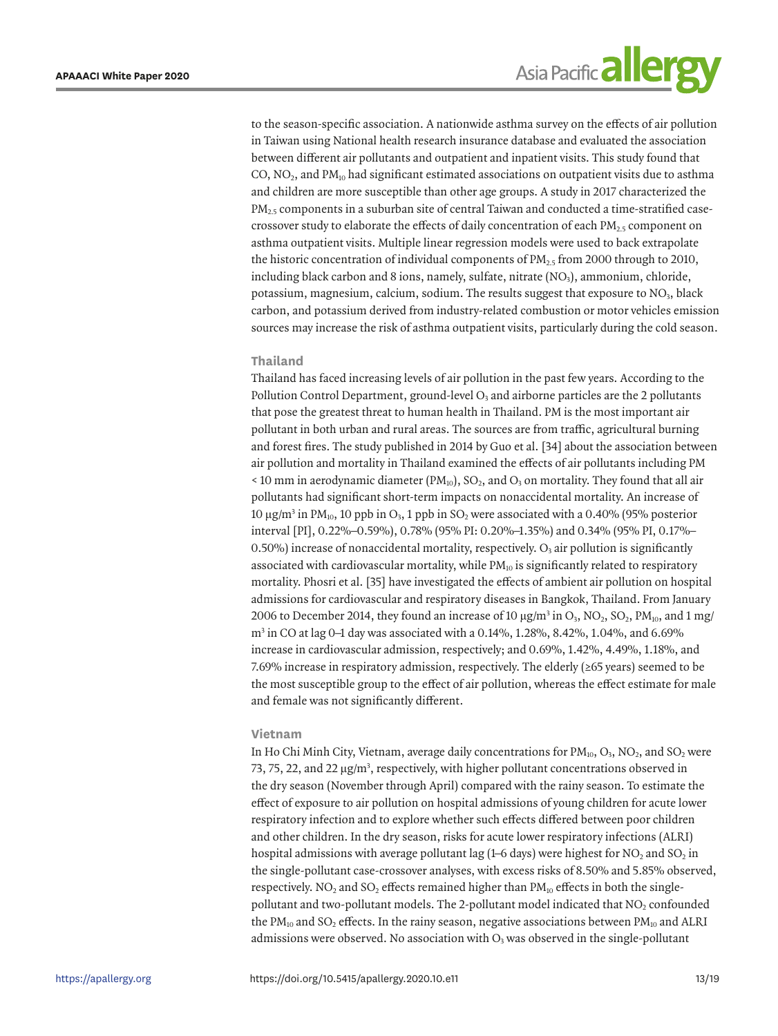to the season-specific association. A nationwide asthma survey on the effects of air pollution in Taiwan using National health research insurance database and evaluated the association between different air pollutants and outpatient and inpatient visits. This study found that CO,  $NO<sub>2</sub>$ , and  $PM<sub>10</sub>$  had significant estimated associations on outpatient visits due to asthma and children are more susceptible than other age groups. A study in 2017 characterized the  $PM_{2.5}$  components in a suburban site of central Taiwan and conducted a time-stratified casecrossover study to elaborate the effects of daily concentration of each  $PM_{2.5}$  component on asthma outpatient visits. Multiple linear regression models were used to back extrapolate the historic concentration of individual components of  $PM_{2.5}$  from 2000 through to 2010, including black carbon and 8 ions, namely, sulfate, nitrate  $[NO<sub>3</sub>]$ , ammonium, chloride, potassium, magnesium, calcium, sodium. The results suggest that exposure to  $NO<sub>3</sub>$ , black carbon, and potassium derived from industry-related combustion or motor vehicles emission sources may increase the risk of asthma outpatient visits, particularly during the cold season.

#### **Thailand**

<span id="page-12-0"></span>Thailand has faced increasing levels of air pollution in the past few years. According to the Pollution Control Department, ground-level  $O<sub>3</sub>$  and airborne particles are the 2 pollutants that pose the greatest threat to human health in Thailand. PM is the most important air pollutant in both urban and rural areas. The sources are from traffic, agricultural burning and forest fires. The study published in 2014 by Guo et al. [[34](#page-17-0)] about the association between air pollution and mortality in Thailand examined the effects of air pollutants including PM  $\leq$  10 mm in aerodynamic diameter (PM<sub>10</sub>), SO<sub>2</sub>, and O<sub>3</sub> on mortality. They found that all air pollutants had significant short-term impacts on nonaccidental mortality. An increase of 10 μg/m<sup>3</sup> in PM<sub>10</sub>, 10 ppb in O<sub>3</sub>, 1 ppb in SO<sub>2</sub> were associated with a 0.40% (95% posterior interval [PI], 0.22%–0.59%), 0.78% (95% PI: 0.20%–1.35%) and 0.34% (95% PI, 0.17%– 0.50%) increase of nonaccidental mortality, respectively.  $O_3$  air pollution is significantly associated with cardiovascular mortality, while  $PM_{10}$  is significantly related to respiratory mortality. Phosri et al. [[35](#page-17-1)] have investigated the effects of ambient air pollution on hospital admissions for cardiovascular and respiratory diseases in Bangkok, Thailand. From January 2006 to December 2014, they found an increase of 10  $\mu$ g/m<sup>3</sup> in O<sub>3</sub>, NO<sub>2</sub>, SO<sub>2</sub>, PM<sub>10</sub>, and 1 mg/ m3 in CO at lag 0–1 day was associated with a 0.14%, 1.28%, 8.42%, 1.04%, and 6.69% increase in cardiovascular admission, respectively; and 0.69%, 1.42%, 4.49%, 1.18%, and 7.69% increase in respiratory admission, respectively. The elderly (≥65 years) seemed to be the most susceptible group to the effect of air pollution, whereas the effect estimate for male and female was not significantly different.

#### <span id="page-12-1"></span>**Vietnam**

In Ho Chi Minh City, Vietnam, average daily concentrations for  $PM_{10}$ ,  $O_3$ ,  $NO_2$ , and SO<sub>2</sub> were 73, 75, 22, and 22 μg/m<sup>3</sup>, respectively, with higher pollutant concentrations observed in the dry season (November through April) compared with the rainy season. To estimate the effect of exposure to air pollution on hospital admissions of young children for acute lower respiratory infection and to explore whether such effects differed between poor children and other children. In the dry season, risks for acute lower respiratory infections (ALRI) hospital admissions with average pollutant lag  $(1-6 \text{ days})$  were highest for NO<sub>2</sub> and SO<sub>2</sub> in the single-pollutant case-crossover analyses, with excess risks of 8.50% and 5.85% observed, respectively. NO<sub>2</sub> and SO<sub>2</sub> effects remained higher than  $PM_{10}$  effects in both the singlepollutant and two-pollutant models. The 2-pollutant model indicated that  $NO<sub>2</sub>$  confounded the PM<sub>10</sub> and SO<sub>2</sub> effects. In the rainy season, negative associations between PM<sub>10</sub> and ALRI admissions were observed. No association with  $O<sub>3</sub>$  was observed in the single-pollutant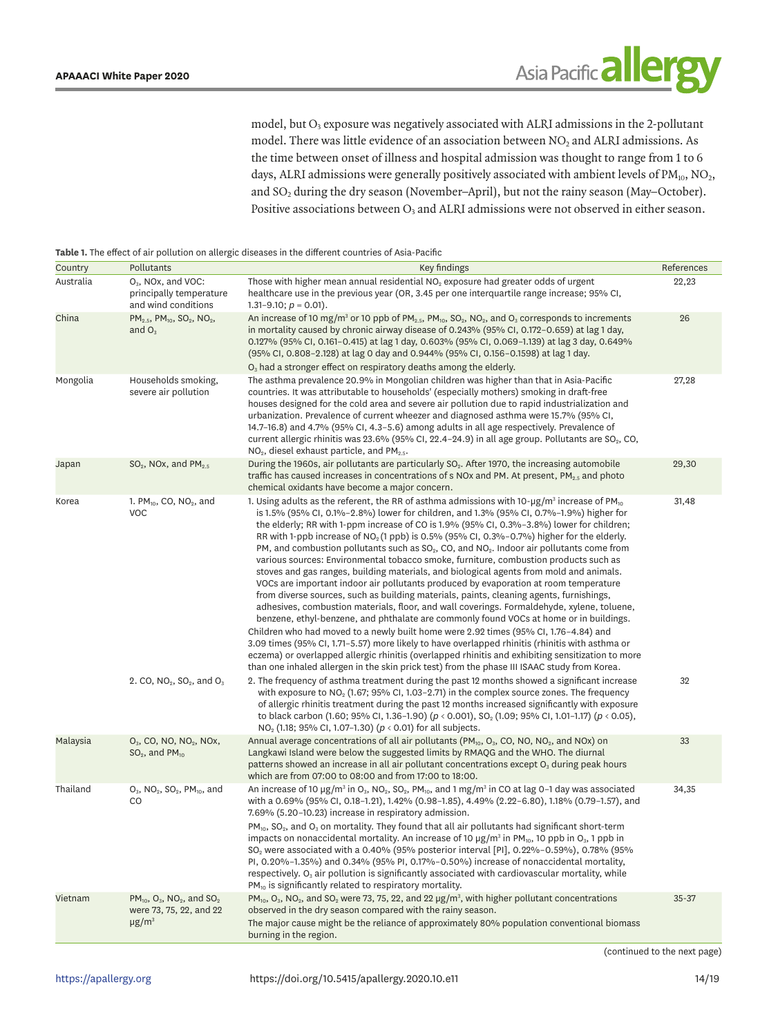<span id="page-13-7"></span><span id="page-13-6"></span><span id="page-13-5"></span><span id="page-13-4"></span><span id="page-13-3"></span><span id="page-13-2"></span><span id="page-13-1"></span>model, but O<sub>3</sub> exposure was negatively associated with ALRI admissions in the 2-pollutant model. There was little evidence of an association between NO<sub>2</sub> and ALRI admissions. As the time between onset of illness and hospital admission was thought to range from 1 to 6 days, ALRI admissions were generally positively associated with ambient levels of  $PM_{10}$ , NO<sub>2</sub>, and SO<sub>2</sub> during the dry season (November–April), but not the rainy season (May–October). Positive associations between  $O_3$  and ALRI admissions were not observed in either season.

#### <span id="page-13-0"></span>**Table 1.** The effect of air pollution on allergic diseases in the different countries of Asia-Pacific

| Australia<br>China | $O_3$ , NOx, and VOC:<br>principally temperature<br>and wind conditions                                                 | Those with higher mean annual residential NO <sub>2</sub> exposure had greater odds of urgent<br>healthcare use in the previous year (OR, 3.45 per one interquartile range increase; 95% CI,                                                                                                                                                                                                                                                                                                                                                                                                                                                                                                                                                                                                                                                                                                                                                                                                                                                                                                                                                                                                                                                                                                                                                                                                                                                                                                                                                                                                | 22,23       |
|--------------------|-------------------------------------------------------------------------------------------------------------------------|---------------------------------------------------------------------------------------------------------------------------------------------------------------------------------------------------------------------------------------------------------------------------------------------------------------------------------------------------------------------------------------------------------------------------------------------------------------------------------------------------------------------------------------------------------------------------------------------------------------------------------------------------------------------------------------------------------------------------------------------------------------------------------------------------------------------------------------------------------------------------------------------------------------------------------------------------------------------------------------------------------------------------------------------------------------------------------------------------------------------------------------------------------------------------------------------------------------------------------------------------------------------------------------------------------------------------------------------------------------------------------------------------------------------------------------------------------------------------------------------------------------------------------------------------------------------------------------------|-------------|
|                    |                                                                                                                         | 1.31-9.10; $p = 0.01$ ).                                                                                                                                                                                                                                                                                                                                                                                                                                                                                                                                                                                                                                                                                                                                                                                                                                                                                                                                                                                                                                                                                                                                                                                                                                                                                                                                                                                                                                                                                                                                                                    |             |
|                    | $PM_{2.5}$ , PM <sub>10</sub> , SO <sub>2</sub> , NO <sub>2</sub> ,<br>and $O_3$                                        | An increase of 10 mg/m <sup>3</sup> or 10 ppb of PM <sub>2.5</sub> , PM <sub>10</sub> , SO <sub>2</sub> , NO <sub>2</sub> , and O <sub>3</sub> corresponds to increments<br>in mortality caused by chronic airway disease of 0.243% (95% CI, 0.172–0.659) at lag 1 day,<br>0.127% (95% CI, 0.161-0.415) at lag 1 day, 0.603% (95% CI, 0.069-1.139) at lag 3 day, 0.649%<br>(95% CI, 0.808-2.128) at lag 0 day and 0.944% (95% CI, 0.156-0.1598) at lag 1 day.<br>$O3$ had a stronger effect on respiratory deaths among the elderly.                                                                                                                                                                                                                                                                                                                                                                                                                                                                                                                                                                                                                                                                                                                                                                                                                                                                                                                                                                                                                                                        | 26          |
| Mongolia           | Households smoking,<br>severe air pollution                                                                             | The asthma prevalence 20.9% in Mongolian children was higher than that in Asia-Pacific<br>countries. It was attributable to households' (especially mothers) smoking in draft-free<br>houses designed for the cold area and severe air pollution due to rapid industrialization and<br>urbanization. Prevalence of current wheezer and diagnosed asthma were 15.7% (95% CI,<br>14.7-16.8) and 4.7% (95% CI, 4.3-5.6) among adults in all age respectively. Prevalence of<br>current allergic rhinitis was 23.6% (95% CI, 22.4-24.9) in all age group. Pollutants are SO <sub>2</sub> , CO,<br>$NO2$ , diesel exhaust particle, and PM <sub>2.5</sub> .                                                                                                                                                                                                                                                                                                                                                                                                                                                                                                                                                                                                                                                                                                                                                                                                                                                                                                                                      | 27,28       |
| Japan              | $SO_2$ , NOx, and PM <sub>2.5</sub>                                                                                     | During the 1960s, air pollutants are particularly $SO_2$ . After 1970, the increasing automobile<br>traffic has caused increases in concentrations of s NOx and PM. At present, PM <sub>2.5</sub> and photo<br>chemical oxidants have become a major concern.                                                                                                                                                                                                                                                                                                                                                                                                                                                                                                                                                                                                                                                                                                                                                                                                                                                                                                                                                                                                                                                                                                                                                                                                                                                                                                                               | 29,30       |
| Korea              | 1. PM <sub>10</sub> , CO, NO <sub>2</sub> , and<br><b>VOC</b><br>2. CO, $NO_2$ , $SO_2$ , and $O_3$                     | 1. Using adults as the referent, the RR of asthma admissions with 10- $\mu$ g/m <sup>3</sup> increase of PM <sub>10</sub><br>is 1.5% (95% CI, 0.1%-2.8%) lower for children, and 1.3% (95% CI, 0.7%-1.9%) higher for<br>the elderly; RR with 1-ppm increase of CO is 1.9% (95% CI, 0.3%-3.8%) lower for children;<br>RR with 1-ppb increase of NO <sub>2</sub> (1 ppb) is 0.5% (95% CI, 0.3%-0.7%) higher for the elderly.<br>PM, and combustion pollutants such as $SO_2$ , CO, and $NO_2$ . Indoor air pollutants come from<br>various sources: Environmental tobacco smoke, furniture, combustion products such as<br>stoves and gas ranges, building materials, and biological agents from mold and animals.<br>VOCs are important indoor air pollutants produced by evaporation at room temperature<br>from diverse sources, such as building materials, paints, cleaning agents, furnishings,<br>adhesives, combustion materials, floor, and wall coverings. Formaldehyde, xylene, toluene,<br>benzene, ethyl-benzene, and phthalate are commonly found VOCs at home or in buildings.<br>Children who had moved to a newly built home were 2.92 times (95% CI, 1.76-4.84) and<br>3.09 times (95% CI, 1.71–5.57) more likely to have overlapped rhinitis (rhinitis with asthma or<br>eczema) or overlapped allergic rhinitis (overlapped rhinitis and exhibiting sensitization to more<br>than one inhaled allergen in the skin prick test) from the phase III ISAAC study from Korea.<br>2. The frequency of asthma treatment during the past 12 months showed a significant increase | 31,48<br>32 |
|                    |                                                                                                                         | with exposure to $NO2$ (1.67; 95% CI, 1.03-2.71) in the complex source zones. The frequency<br>of allergic rhinitis treatment during the past 12 months increased significantly with exposure<br>to black carbon (1.60; 95% CI, 1.36-1.90) ( $p < 0.001$ ), SO <sub>2</sub> (1.09; 95% CI, 1.01-1.17) ( $p < 0.05$ ),<br>NO <sub>2</sub> (1.18; 95% CI, 1.07-1.30) ( $p < 0.01$ ) for all subjects.                                                                                                                                                                                                                                                                                                                                                                                                                                                                                                                                                                                                                                                                                                                                                                                                                                                                                                                                                                                                                                                                                                                                                                                         |             |
| Malaysia           | $O_3$ , CO, NO, NO <sub>2</sub> , NO <sub>x</sub> ,<br>$SO_2$ , and PM <sub>10</sub>                                    | Annual average concentrations of all air pollutants ( $PM_{10}$ , $O_3$ , CO, NO, NO <sub>2</sub> , and NOx) on<br>Langkawi Island were below the suggested limits by RMAQG and the WHO. The diurnal<br>patterns showed an increase in all air pollutant concentrations except $O_3$ during peak hours<br>which are from 07:00 to 08:00 and from 17:00 to 18:00.                                                                                                                                                                                                                                                                                                                                                                                                                                                                                                                                                                                                                                                                                                                                                                                                                                                                                                                                                                                                                                                                                                                                                                                                                            | 33          |
| Thailand           | $O_3$ , NO <sub>2</sub> , SO <sub>2</sub> , PM <sub>10</sub> , and<br>CO                                                | An increase of 10 $\mu$ g/m <sup>3</sup> in O <sub>3</sub> , NO <sub>2</sub> , SO <sub>2</sub> , PM <sub>10</sub> , and 1 mg/m <sup>3</sup> in CO at lag 0-1 day was associated<br>with a 0.69% (95% CI, 0.18-1.21), 1.42% (0.98-1.85), 4.49% (2.22-6.80), 1.18% (0.79-1.57), and<br>7.69% (5.20–10.23) increase in respiratory admission.<br>$PM_{10}$ , SO <sub>2</sub> , and O <sub>3</sub> on mortality. They found that all air pollutants had significant short-term<br>impacts on nonaccidental mortality. An increase of 10 $\mu$ g/m <sup>3</sup> in PM <sub>10</sub> , 10 ppb in O <sub>3</sub> , 1 ppb in<br>SO <sub>2</sub> were associated with a 0.40% (95% posterior interval [PI], 0.22%-0.59%), 0.78% (95%<br>PI, 0.20%-1.35%) and 0.34% (95% PI, 0.17%-0.50%) increase of nonaccidental mortality,<br>respectively. $O_3$ air pollution is significantly associated with cardiovascular mortality, while<br>PM <sub>10</sub> is significantly related to respiratory mortality.                                                                                                                                                                                                                                                                                                                                                                                                                                                                                                                                                                                           | 34,35       |
| Vietnam            | $PM_{10}$ , O <sub>3</sub> , NO <sub>2</sub> , and SO <sub>2</sub><br>were 73, 75, 22, and 22<br>$\mu$ g/m <sup>3</sup> | $PM_{10}$ , O <sub>3</sub> , NO <sub>2</sub> , and SO <sub>2</sub> were 73, 75, 22, and 22 $\mu g/m^3$ , with higher pollutant concentrations<br>observed in the dry season compared with the rainy season.<br>The major cause might be the reliance of approximately 80% population conventional biomass<br>burning in the region.                                                                                                                                                                                                                                                                                                                                                                                                                                                                                                                                                                                                                                                                                                                                                                                                                                                                                                                                                                                                                                                                                                                                                                                                                                                         | $35 - 37$   |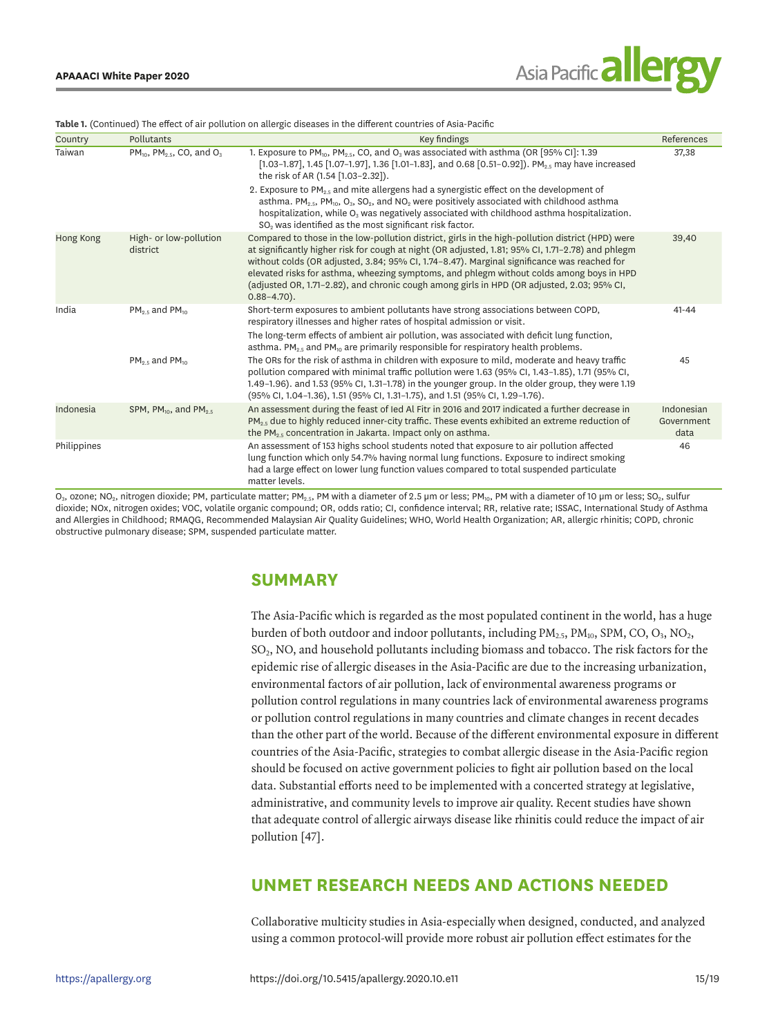#### **Table 1.** (Continued) The effect of air pollution on allergic diseases in the different countries of Asia-Pacific

| Country     | Pollutants                                      | Key findings                                                                                                                                                                                                                                                                                                                                                                                                                                                                                                                                                                                                                                                                                                             | References                       |
|-------------|-------------------------------------------------|--------------------------------------------------------------------------------------------------------------------------------------------------------------------------------------------------------------------------------------------------------------------------------------------------------------------------------------------------------------------------------------------------------------------------------------------------------------------------------------------------------------------------------------------------------------------------------------------------------------------------------------------------------------------------------------------------------------------------|----------------------------------|
| Taiwan      | $PM_{10}$ , $PM_{2.5}$ , CO, and O <sub>3</sub> | 1. Exposure to PM <sub>10</sub> , PM <sub>2.5</sub> , CO, and O <sub>3</sub> was associated with asthma (OR [95% CI]: 1.39<br>[1.03-1.87], 1.45 [1.07-1.97], 1.36 [1.01-1.83], and 0.68 [0.51-0.92]). PM <sub>2.5</sub> may have increased<br>the risk of AR (1.54 [1.03-2.32]).<br>2. Exposure to PM <sub>2.5</sub> and mite allergens had a synergistic effect on the development of<br>asthma. PM <sub>2.5</sub> , PM <sub>10</sub> , O <sub>3</sub> , SO <sub>2</sub> , and NO <sub>2</sub> were positively associated with childhood asthma<br>hospitalization, while $O_3$ was negatively associated with childhood asthma hospitalization.<br>SO <sub>2</sub> was identified as the most significant risk factor. | 37,38                            |
| Hong Kong   | High- or low-pollution<br>district              | Compared to those in the low-pollution district, girls in the high-pollution district (HPD) were<br>at significantly higher risk for cough at night (OR adjusted, 1.81; 95% CI, 1.71-2.78) and phlegm<br>without colds (OR adjusted, 3.84; 95% CI, 1.74-8.47). Marginal significance was reached for<br>elevated risks for asthma, wheezing symptoms, and phlegm without colds among boys in HPD<br>(adjusted OR, 1.71-2.82), and chronic cough among girls in HPD (OR adjusted, 2.03; 95% CI,<br>$0.88 - 4.70$ ).                                                                                                                                                                                                       | 39,40                            |
| India       | $PM_{2.5}$ and $PM_{10}$                        | Short-term exposures to ambient pollutants have strong associations between COPD,<br>respiratory illnesses and higher rates of hospital admission or visit.<br>The long-term effects of ambient air pollution, was associated with deficit lung function,<br>asthma. $PM_{2.5}$ and $PM_{10}$ are primarily responsible for respiratory health problems.                                                                                                                                                                                                                                                                                                                                                                 | $41 - 44$                        |
|             | $PM_{2.5}$ and $PM_{10}$                        | The ORs for the risk of asthma in children with exposure to mild, moderate and heavy traffic<br>pollution compared with minimal traffic pollution were 1.63 (95% CI, 1.43-1.85), 1.71 (95% CI,<br>1.49-1.96). and 1.53 (95% CI, 1.31-1.78) in the younger group. In the older group, they were 1.19<br>(95% CI, 1.04-1.36), 1.51 (95% CI, 1.31-1.75), and 1.51 (95% CI, 1.29-1.76).                                                                                                                                                                                                                                                                                                                                      | 45                               |
| Indonesia   | SPM, $PM_{10}$ , and $PM_{2.5}$                 | An assessment during the feast of led Al Fitr in 2016 and 2017 indicated a further decrease in<br>$PM_{2.5}$ due to highly reduced inner-city traffic. These events exhibited an extreme reduction of<br>the PM <sub>2.5</sub> concentration in Jakarta. Impact only on asthma.                                                                                                                                                                                                                                                                                                                                                                                                                                          | Indonesian<br>Government<br>data |
| Philippines |                                                 | An assessment of 153 highs school students noted that exposure to air pollution affected<br>lung function which only 54.7% having normal lung functions. Exposure to indirect smoking<br>had a large effect on lower lung function values compared to total suspended particulate<br>matter levels.                                                                                                                                                                                                                                                                                                                                                                                                                      | 46                               |

 $O_3$ , ozone; NO<sub>2</sub>, nitrogen dioxide; PM, particulate matter; PM<sub>2.5</sub>, PM with a diameter of 2.5 μm or less; PM<sub>10</sub>, PM with a diameter of 10 μm or less; SO<sub>2</sub>, sulfur dioxide; NOx, nitrogen oxides; VOC, volatile organic compound; OR, odds ratio; CI, confidence interval; RR, relative rate; ISSAC, International Study of Asthma and Allergies in Childhood; RMAQG, Recommended Malaysian Air Quality Guidelines; WHO, World Health Organization; AR, allergic rhinitis; COPD, chronic obstructive pulmonary disease; SPM, suspended particulate matter.

### <span id="page-14-3"></span><span id="page-14-2"></span><span id="page-14-1"></span><span id="page-14-0"></span>**SUMMARY**

The Asia-Pacific which is regarded as the most populated continent in the world, has a huge burden of both outdoor and indoor pollutants, including  $PM_{2.5}$ ,  $PM_{10}$ ,  $SPM$ ,  $CO$ ,  $O_3$ ,  $NO_2$ , SO<sub>2</sub>, NO, and household pollutants including biomass and tobacco. The risk factors for the epidemic rise of allergic diseases in the Asia-Pacific are due to the increasing urbanization, environmental factors of air pollution, lack of environmental awareness programs or pollution control regulations in many countries lack of environmental awareness programs or pollution control regulations in many countries and climate changes in recent decades than the other part of the world. Because of the different environmental exposure in different countries of the Asia-Pacific, strategies to combat allergic disease in the Asia-Pacific region should be focused on active government policies to fight air pollution based on the local data. Substantial efforts need to be implemented with a concerted strategy at legislative, administrative, and community levels to improve air quality. Recent studies have shown that adequate control of allergic airways disease like rhinitis could reduce the impact of air pollution [47].

# <span id="page-14-4"></span>**UNMET RESEARCH NEEDS AND ACTIONS NEEDED**

Collaborative multicity studies in Asia-especially when designed, conducted, and analyzed using a common protocol-will provide more robust air pollution effect estimates for the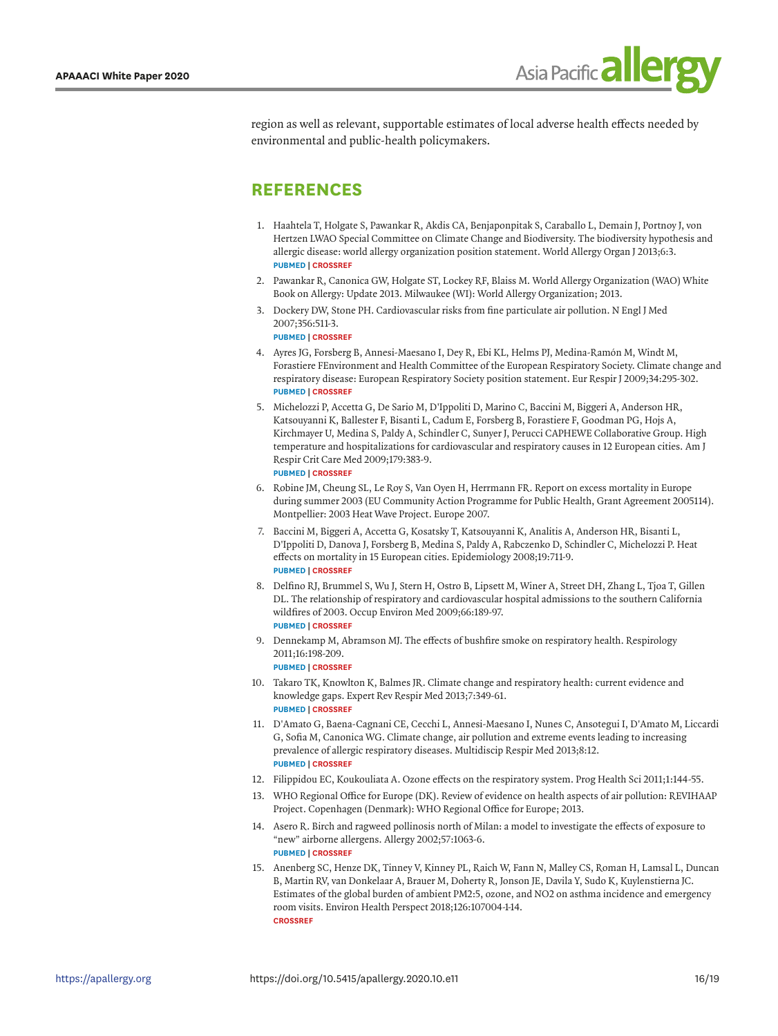region as well as relevant, supportable estimates of local adverse health effects needed by environmental and public-health policymakers.

# **REFERENCES**

- <span id="page-15-0"></span>[1.](#page-3-0) Haahtela T, Holgate S, Pawankar R, Akdis CA, Benjaponpitak S, Caraballo L, Demain J, Portnoy J, von Hertzen LWAO Special Committee on Climate Change and Biodiversity. The biodiversity hypothesis and allergic disease: world allergy organization position statement. World Allergy Organ J 2013;6:3. **[PUBMED](http://www.ncbi.nlm.nih.gov/pubmed/23663440) | [CROSSREF](https://doi.org/10.1186/1939-4551-6-3)**
- <span id="page-15-1"></span>[2.](#page-3-0) Pawankar R, Canonica GW, Holgate ST, Lockey RF, Blaiss M. World Allergy Organization (WAO) White Book on Allergy: Update 2013. Milwaukee (WI): World Allergy Organization; 2013.
- <span id="page-15-2"></span>[3.](#page-2-0) Dockery DW, Stone PH. Cardiovascular risks from fine particulate air pollution. N Engl J Med 2007;356:511-3.

**[PUBMED](http://www.ncbi.nlm.nih.gov/pubmed/17267912) | [CROSSREF](https://doi.org/10.1056/NEJMe068274)**

- <span id="page-15-3"></span>[4.](#page-2-0) Ayres JG, Forsberg B, Annesi-Maesano I, Dey R, Ebi KL, Helms PJ, Medina-Ramón M, Windt M, Forastiere FEnvironment and Health Committee of the European Respiratory Society. Climate change and respiratory disease: European Respiratory Society position statement. Eur Respir J 2009;34:295-302. **[PUBMED](http://www.ncbi.nlm.nih.gov/pubmed/19251790) | [CROSSREF](https://doi.org/10.1183/09031936.00003409)**
- <span id="page-15-4"></span>[5.](#page-8-0) Michelozzi P, Accetta G, De Sario M, D'Ippoliti D, Marino C, Baccini M, Biggeri A, Anderson HR, Katsouyanni K, Ballester F, Bisanti L, Cadum E, Forsberg B, Forastiere F, Goodman PG, Hojs A, Kirchmayer U, Medina S, Paldy A, Schindler C, Sunyer J, Perucci CAPHEWE Collaborative Group. High temperature and hospitalizations for cardiovascular and respiratory causes in 12 European cities. Am J Respir Crit Care Med 2009;179:383-9. **[PUBMED](http://www.ncbi.nlm.nih.gov/pubmed/19060232) | [CROSSREF](https://doi.org/10.1164/rccm.200802-217OC)**
- <span id="page-15-11"></span>[6.](#page-3-1) Robine JM, Cheung SL, Le Roy S, Van Oyen H, Herrmann FR. Report on excess mortality in Europe during summer 2003 (EU Community Action Programme for Public Health, Grant Agreement 2005114). Montpellier: 2003 Heat Wave Project. Europe 2007.
- 7. Baccini M, Biggeri A, Accetta G, Kosatsky T, Katsouyanni K, Analitis A, Anderson HR, Bisanti L, D'Ippoliti D, Danova J, Forsberg B, Medina S, Paldy A, Rabczenko D, Schindler C, Michelozzi P. Heat effects on mortality in 15 European cities. Epidemiology 2008;19:711-9. **[PUBMED](http://www.ncbi.nlm.nih.gov/pubmed/18520615) | [CROSSREF](https://doi.org/10.1097/EDE.0b013e318176bfcd)**
- <span id="page-15-6"></span>[8.](#page-2-1) Delfino RJ, Brummel S, Wu J, Stern H, Ostro B, Lipsett M, Winer A, Street DH, Zhang L, Tjoa T, Gillen DL. The relationship of respiratory and cardiovascular hospital admissions to the southern California wildfires of 2003. Occup Environ Med 2009;66:189-97. **[PUBMED](http://www.ncbi.nlm.nih.gov/pubmed/19017694) | [CROSSREF](https://doi.org/10.1136/oem.2008.041376)**
- <span id="page-15-7"></span>[9.](#page-4-0) Dennekamp M, Abramson MJ. The effects of bushfire smoke on respiratory health. Respirology 2011;16:198-209.

**[PUBMED](http://www.ncbi.nlm.nih.gov/pubmed/20920143) | [CROSSREF](https://doi.org/10.1111/j.1440-1843.2010.01868.x)**

- <span id="page-15-12"></span>[10.](#page-4-0) Takaro TK, Knowlton K, Balmes JR. Climate change and respiratory health: current evidence and knowledge gaps. Expert Rev Respir Med 2013;7:349-61. **[PUBMED](http://www.ncbi.nlm.nih.gov/pubmed/23964626) | [CROSSREF](https://doi.org/10.1586/17476348.2013.814367)**
- 11. D'Amato G, Baena-Cagnani CE, Cecchi L, Annesi-Maesano I, Nunes C, Ansotegui I, D'Amato M, Liccardi G, Sofia M, Canonica WG. Climate change, air pollution and extreme events leading to increasing prevalence of allergic respiratory diseases. Multidiscip Respir Med 2013;8:12. **[PUBMED](http://www.ncbi.nlm.nih.gov/pubmed/23398734) | [CROSSREF](https://doi.org/10.1186/2049-6958-8-12)**
- <span id="page-15-5"></span>[12.](#page-2-2) Filippidou EC, Koukouliata A. Ozone effects on the respiratory system. Prog Health Sci 2011;1:144-55.
- <span id="page-15-8"></span>[13.](#page-2-3) WHO Regional Office for Europe (DK). Review of evidence on health aspects of air pollution: REVIHAAP Project. Copenhagen (Denmark): WHO Regional Office for Europe; 2013.
- <span id="page-15-9"></span>[14.](#page-2-3) Asero R. Birch and ragweed pollinosis north of Milan: a model to investigate the effects of exposure to "new" airborne allergens. Allergy 2002;57:1063-6. **[PUBMED](http://www.ncbi.nlm.nih.gov/pubmed/12359005) | [CROSSREF](https://doi.org/10.1034/j.1398-9995.2002.23766.x)**
- <span id="page-15-10"></span>[15.](#page-3-2) Anenberg SC, Henze DK, Tinney V, Kinney PL, Raich W, Fann N, Malley CS, Roman H, Lamsal L, Duncan B, Martin RV, van Donkelaar A, Brauer M, Doherty R, Jonson JE, Davila Y, Sudo K, Kuylenstierna JC. Estimates of the global burden of ambient PM2:5, ozone, and NO2 on asthma incidence and emergency room visits. Environ Health Perspect 2018;126:107004-1-14. **[CROSSREF](https://doi.org/10.1289/EHP3766)**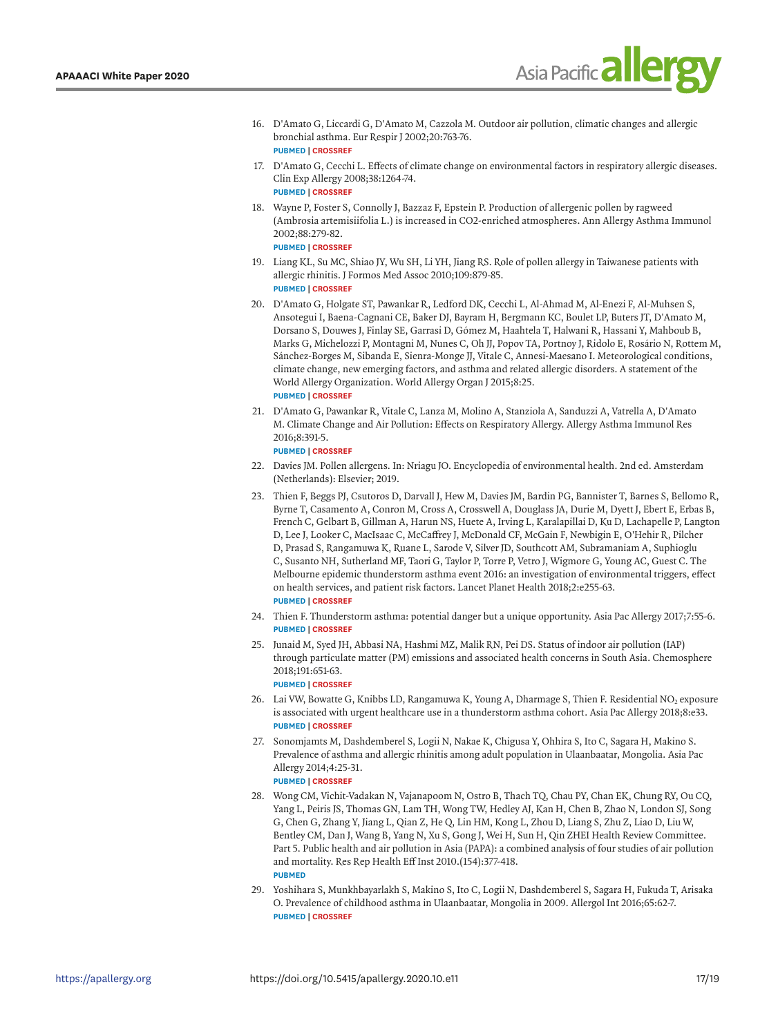- <span id="page-16-0"></span>[16.](#page-3-3) D'Amato G, Liccardi G, D'Amato M, Cazzola M. Outdoor air pollution, climatic changes and allergic bronchial asthma. Eur Respir J 2002;20:763-76. **[PUBMED](http://www.ncbi.nlm.nih.gov/pubmed/12358357) | [CROSSREF](https://doi.org/10.1183/09031936.02.00401402)**
- <span id="page-16-1"></span>[17.](#page-3-4) D'Amato G, Cecchi L. Effects of climate change on environmental factors in respiratory allergic diseases. Clin Exp Allergy 2008;38:1264-74. **[PUBMED](http://www.ncbi.nlm.nih.gov/pubmed/18537982) | [CROSSREF](https://doi.org/10.1111/j.1365-2222.2008.03033.x)**
- <span id="page-16-2"></span>[18.](#page-4-1) Wayne P, Foster S, Connolly J, Bazzaz F, Epstein P. Production of allergenic pollen by ragweed (Ambrosia artemisiifolia L.) is increased in CO2-enriched atmospheres. Ann Allergy Asthma Immunol 2002;88:279-82.

**[PUBMED](http://www.ncbi.nlm.nih.gov/pubmed/11926621) | [CROSSREF](https://doi.org/10.1016/S1081-1206(10)62009-1)**

- <span id="page-16-3"></span>[19.](#page-3-5) Liang KL, Su MC, Shiao JY, Wu SH, Li YH, Jiang RS. Role of pollen allergy in Taiwanese patients with allergic rhinitis. J Formos Med Assoc 2010;109:879-85. **[PUBMED](http://www.ncbi.nlm.nih.gov/pubmed/21195885) | [CROSSREF](https://doi.org/10.1016/S0929-6646(10)60134-9)**
- <span id="page-16-4"></span>[20.](#page-4-2) D'Amato G, Holgate ST, Pawankar R, Ledford DK, Cecchi L, Al-Ahmad M, Al-Enezi F, Al-Muhsen S, Ansotegui I, Baena-Cagnani CE, Baker DJ, Bayram H, Bergmann KC, Boulet LP, Buters JT, D'Amato M, Dorsano S, Douwes J, Finlay SE, Garrasi D, Gómez M, Haahtela T, Halwani R, Hassani Y, Mahboub B, Marks G, Michelozzi P, Montagni M, Nunes C, Oh JJ, Popov TA, Portnoy J, Ridolo E, Rosário N, Rottem M, Sánchez-Borges M, Sibanda E, Sienra-Monge JJ, Vitale C, Annesi-Maesano I. Meteorological conditions, climate change, new emerging factors, and asthma and related allergic disorders. A statement of the World Allergy Organization. World Allergy Organ J 2015;8:25. **[PUBMED](http://www.ncbi.nlm.nih.gov/pubmed/26207160) | [CROSSREF](https://doi.org/10.1186/s40413-015-0073-0)**
- <span id="page-16-5"></span>[21.](#page-4-3) D'Amato G, Pawankar R, Vitale C, Lanza M, Molino A, Stanziola A, Sanduzzi A, Vatrella A, D'Amato M. Climate Change and Air Pollution: Effects on Respiratory Allergy. Allergy Asthma Immunol Res 2016;8:391-5.

#### **[PUBMED](http://www.ncbi.nlm.nih.gov/pubmed/27334776) | [CROSSREF](https://doi.org/10.4168/aair.2016.8.5.391)**

- <span id="page-16-6"></span>[22.](#page-4-4) Davies JM. Pollen allergens. In: Nriagu JO. Encyclopedia of environmental health. 2nd ed. Amsterdam (Netherlands): Elsevier; 2019.
- <span id="page-16-7"></span>[23.](#page-6-0) Thien F, Beggs PJ, Csutoros D, Darvall J, Hew M, Davies JM, Bardin PG, Bannister T, Barnes S, Bellomo R, Byrne T, Casamento A, Conron M, Cross A, Crosswell A, Douglass JA, Durie M, Dyett J, Ebert E, Erbas B, French C, Gelbart B, Gillman A, Harun NS, Huete A, Irving L, Karalapillai D, Ku D, Lachapelle P, Langton D, Lee J, Looker C, MacIsaac C, McCaffrey J, McDonald CF, McGain F, Newbigin E, O'Hehir R, Pilcher D, Prasad S, Rangamuwa K, Ruane L, Sarode V, Silver JD, Southcott AM, Subramaniam A, Suphioglu C, Susanto NH, Sutherland MF, Taori G, Taylor P, Torre P, Vetro J, Wigmore G, Young AC, Guest C. The Melbourne epidemic thunderstorm asthma event 2016: an investigation of environmental triggers, effect on health services, and patient risk factors. Lancet Planet Health 2018;2:e255-63. **[PUBMED](http://www.ncbi.nlm.nih.gov/pubmed/29880157) | [CROSSREF](https://doi.org/10.1016/S2542-5196(18)30120-7)**
- <span id="page-16-8"></span>[24.](#page-5-0) Thien F. Thunderstorm asthma: potential danger but a unique opportunity. Asia Pac Allergy 2017;7:55-6. **[PUBMED](http://www.ncbi.nlm.nih.gov/pubmed/28487835) | [CROSSREF](https://doi.org/10.5415/apallergy.2017.7.2.55)**
- 25. Junaid M, Syed JH, Abbasi NA, Hashmi MZ, Malik RN, Pei DS. Status of indoor air pollution (IAP) through particulate matter (PM) emissions and associated health concerns in South Asia. Chemosphere 2018;191:651-63. **[PUBMED](http://www.ncbi.nlm.nih.gov/pubmed/29078189) | [CROSSREF](https://doi.org/10.1016/j.chemosphere.2017.10.097)**
- <span id="page-16-9"></span>[26.](#page-13-1) Lai VW, Bowatte G, Knibbs LD, Rangamuwa K, Young A, Dharmage S, Thien F. Residential NO<sub>2</sub> exposure is associated with urgent healthcare use in a thunderstorm asthma cohort. Asia Pac Allergy 2018;8:e33. **[PUBMED](http://www.ncbi.nlm.nih.gov/pubmed/30402400) | [CROSSREF](https://doi.org/10.5415/apallergy.2018.8.e33)**
- <span id="page-16-10"></span>[27.](#page-13-2) Sonomjamts M, Dashdemberel S, Logii N, Nakae K, Chigusa Y, Ohhira S, Ito C, Sagara H, Makino S. Prevalence of asthma and allergic rhinitis among adult population in Ulaanbaatar, Mongolia. Asia Pac Allergy 2014;4:25-31. **[PUBMED](http://www.ncbi.nlm.nih.gov/pubmed/24527407) | [CROSSREF](https://doi.org/10.5415/apallergy.2014.4.1.25)**
- 28. Wong CM, Vichit-Vadakan N, Vajanapoom N, Ostro B, Thach TQ, Chau PY, Chan EK, Chung RY, Ou CQ, Yang L, Peiris JS, Thomas GN, Lam TH, Wong TW, Hedley AJ, Kan H, Chen B, Zhao N, London SJ, Song G, Chen G, Zhang Y, Jiang L, Qian Z, He Q, Lin HM, Kong L, Zhou D, Liang S, Zhu Z, Liao D, Liu W, Bentley CM, Dan J, Wang B, Yang N, Xu S, Gong J, Wei H, Sun H, Qin ZHEI Health Review Committee. Part 5. Public health and air pollution in Asia (PAPA): a combined analysis of four studies of air pollution and mortality. Res Rep Health Eff Inst 2010.(154):377-418. **[PUBMED](http://www.ncbi.nlm.nih.gov/pubmed/21446215)**
- <span id="page-16-11"></span>[29.](#page-13-3) Yoshihara S, Munkhbayarlakh S, Makino S, Ito C, Logii N, Dashdemberel S, Sagara H, Fukuda T, Arisaka O. Prevalence of childhood asthma in Ulaanbaatar, Mongolia in 2009. Allergol Int 2016;65:62-7. **[PUBMED](http://www.ncbi.nlm.nih.gov/pubmed/26666488) | [CROSSREF](https://doi.org/10.1016/j.alit.2015.07.009)**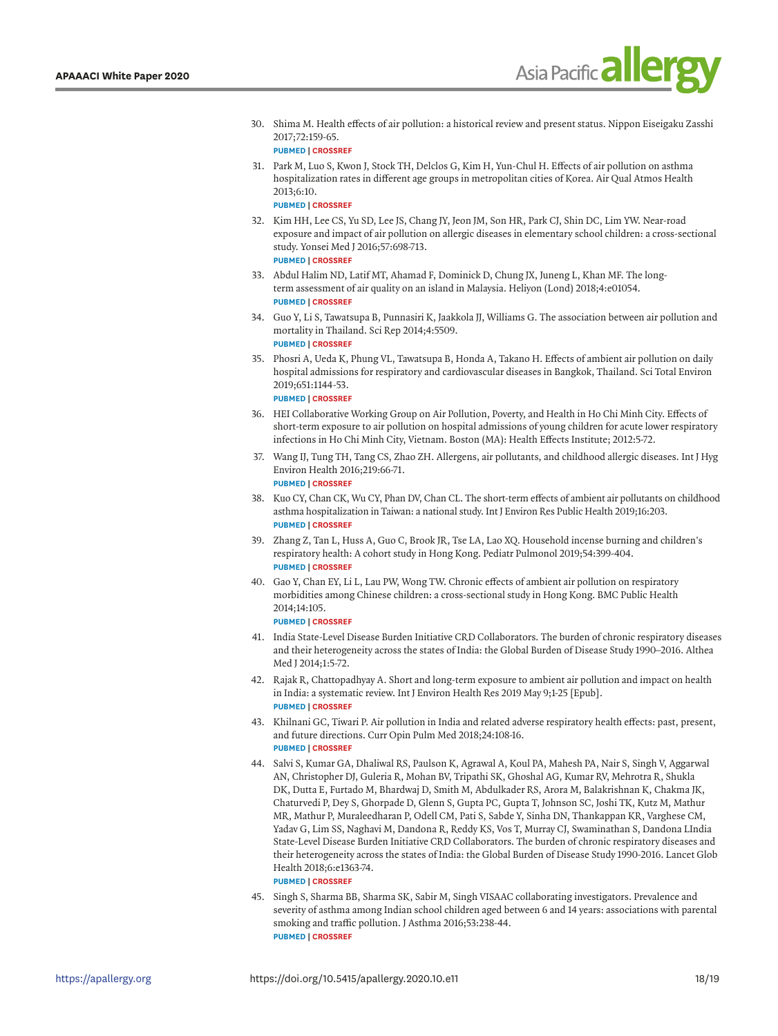30. Shima M. Health effects of air pollution: a historical review and present status. Nippon Eiseigaku Zasshi 2017;72:159-65. **[PUBMED](http://www.ncbi.nlm.nih.gov/pubmed/28931794) | [CROSSREF](https://doi.org/10.1265/jjh.72.159)**

<span id="page-17-2"></span>[31.](#page-13-4) Park M, Luo S, Kwon J, Stock TH, Delclos G, Kim H, Yun-Chul H. Effects of air pollution on asthma hospitalization rates in different age groups in metropolitan cities of Korea. Air Qual Atmos Health 2013;6:10.

**[PUBMED](http://www.ncbi.nlm.nih.gov/pubmed/24223075) | [CROSSREF](https://doi.org/10.1007/s11869-013-0195-x)**

- <span id="page-17-3"></span>[32.](#page-13-5) Kim HH, Lee CS, Yu SD, Lee JS, Chang JY, Jeon JM, Son HR, Park CJ, Shin DC, Lim YW. Near-road exposure and impact of air pollution on allergic diseases in elementary school children: a cross-sectional study. Yonsei Med J 2016;57:698-713. **[PUBMED](http://www.ncbi.nlm.nih.gov/pubmed/26996571) | [CROSSREF](https://doi.org/10.3349/ymj.2016.57.3.698)**
- <span id="page-17-4"></span>[33.](#page-13-6) Abdul Halim ND, Latif MT, Ahamad F, Dominick D, Chung JX, Juneng L, Khan MF. The longterm assessment of air quality on an island in Malaysia. Heliyon (Lond) 2018;4:e01054. **[PUBMED](http://www.ncbi.nlm.nih.gov/pubmed/30603693) | [CROSSREF](https://doi.org/10.1016/j.heliyon.2018.e01054)**
- <span id="page-17-0"></span>[34.](#page-12-0) Guo Y, Li S, Tawatsupa B, Punnasiri K, Jaakkola JJ, Williams G. The association between air pollution and mortality in Thailand. Sci Rep 2014;4:5509. **[PUBMED](http://www.ncbi.nlm.nih.gov/pubmed/24981315) | [CROSSREF](https://doi.org/10.1038/srep05509)**
- <span id="page-17-1"></span>[35.](#page-12-1) Phosri A, Ueda K, Phung VL, Tawatsupa B, Honda A, Takano H. Effects of ambient air pollution on daily hospital admissions for respiratory and cardiovascular diseases in Bangkok, Thailand. Sci Total Environ 2019;651:1144-53. **[PUBMED](http://www.ncbi.nlm.nih.gov/pubmed/30360246) | [CROSSREF](https://doi.org/10.1016/j.scitotenv.2018.09.183)**
- 36. HEI Collaborative Working Group on Air Pollution, Poverty, and Health in Ho Chi Minh City. Effects of short-term exposure to air pollution on hospital admissions of young children for acute lower respiratory infections in Ho Chi Minh City, Vietnam. Boston (MA): Health Effects Institute; 2012:5-72.
- <span id="page-17-5"></span>[37.](#page-13-7) Wang IJ, Tung TH, Tang CS, Zhao ZH. Allergens, air pollutants, and childhood allergic diseases. Int J Hyg Environ Health 2016;219:66-71. **[PUBMED](http://www.ncbi.nlm.nih.gov/pubmed/26404109) | [CROSSREF](https://doi.org/10.1016/j.ijheh.2015.09.001)**
- 38. Kuo CY, Chan CK, Wu CY, Phan DV, Chan CL. The short-term effects of ambient air pollutants on childhood asthma hospitalization in Taiwan: a national study. Int J Environ Res Public Health 2019;16:203. **[PUBMED](http://www.ncbi.nlm.nih.gov/pubmed/30642061) | [CROSSREF](https://doi.org/10.3390/ijerph16020203)**
- <span id="page-17-6"></span>[39.](#page-14-0) Zhang Z, Tan L, Huss A, Guo C, Brook JR, Tse LA, Lao XQ. Household incense burning and children's respiratory health: A cohort study in Hong Kong. Pediatr Pulmonol 2019;54:399-404. **[PUBMED](http://www.ncbi.nlm.nih.gov/pubmed/30652429) | [CROSSREF](https://doi.org/10.1002/ppul.24251)**
- 40. Gao Y, Chan EY, Li L, Lau PW, Wong TW. Chronic effects of ambient air pollution on respiratory morbidities among Chinese children: a cross-sectional study in Hong Kong. BMC Public Health 2014;14:105.
	- **[PUBMED](http://www.ncbi.nlm.nih.gov/pubmed/24484614) | [CROSSREF](https://doi.org/10.1186/1471-2458-14-105)**
- <span id="page-17-7"></span>[41.](#page-14-1) India State-Level Disease Burden Initiative CRD Collaborators. The burden of chronic respiratory diseases and their heterogeneity across the states of India: the Global Burden of Disease Study 1990–2016. Althea Med I 2014:1:5-72.
- 42. Rajak R, Chattopadhyay A. Short and long-term exposure to ambient air pollution and impact on health in India: a systematic review. Int J Environ Health Res 2019 May 9;1-25 [Epub]. **[PUBMED](http://www.ncbi.nlm.nih.gov/pubmed/31070475) | [CROSSREF](https://doi.org/10.1080/09603123.2019.1612042)**
- 43. Khilnani GC, Tiwari P. Air pollution in India and related adverse respiratory health effects: past, present, and future directions. Curr Opin Pulm Med 2018;24:108-16. **[PUBMED](http://www.ncbi.nlm.nih.gov/pubmed/29300211) | [CROSSREF](https://doi.org/10.1097/MCP.0000000000000463)**
- [44.](#page-14-1) Salvi S, Kumar GA, Dhaliwal RS, Paulson K, Agrawal A, Koul PA, Mahesh PA, Nair S, Singh V, Aggarwal AN, Christopher DJ, Guleria R, Mohan BV, Tripathi SK, Ghoshal AG, Kumar RV, Mehrotra R, Shukla DK, Dutta E, Furtado M, Bhardwaj D, Smith M, Abdulkader RS, Arora M, Balakrishnan K, Chakma JK, Chaturvedi P, Dey S, Ghorpade D, Glenn S, Gupta PC, Gupta T, Johnson SC, Joshi TK, Kutz M, Mathur MR, Mathur P, Muraleedharan P, Odell CM, Pati S, Sabde Y, Sinha DN, Thankappan KR, Varghese CM, Yadav G, Lim SS, Naghavi M, Dandona R, Reddy KS, Vos T, Murray CJ, Swaminathan S, Dandona LIndia State-Level Disease Burden Initiative CRD Collaborators. The burden of chronic respiratory diseases and their heterogeneity across the states of India: the Global Burden of Disease Study 1990-2016. Lancet Glob Health 2018;6:e1363-74. **[PUBMED](http://www.ncbi.nlm.nih.gov/pubmed/30219316) | [CROSSREF](https://doi.org/10.1016/S2214-109X(18)30409-1)**
- <span id="page-17-8"></span>[45.](#page-14-2) Singh S, Sharma BB, Sharma SK, Sabir M, Singh VISAAC collaborating investigators. Prevalence and severity of asthma among Indian school children aged between 6 and 14 years: associations with parental smoking and traffic pollution. J Asthma 2016;53:238-44. **[PUBMED](http://www.ncbi.nlm.nih.gov/pubmed/26365004) | [CROSSREF](https://doi.org/10.3109/02770903.2015.1087558)**